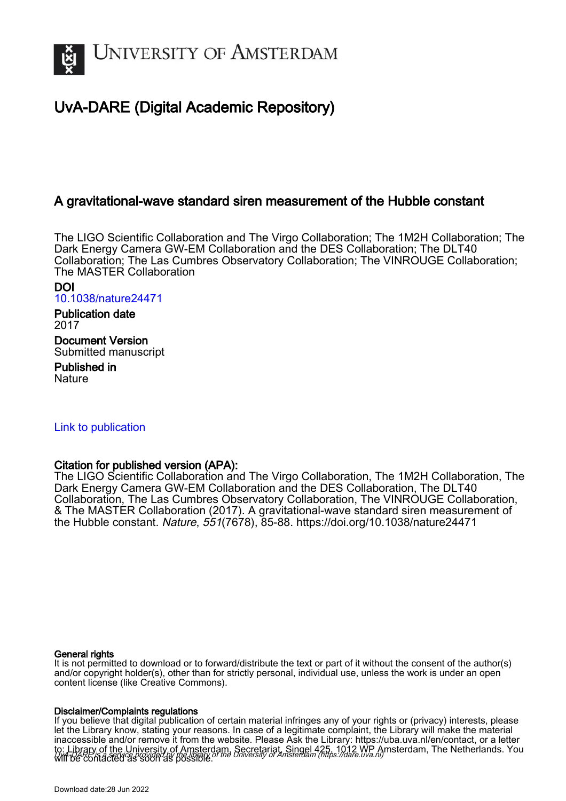

# UvA-DARE (Digital Academic Repository)

# A gravitational-wave standard siren measurement of the Hubble constant

The LIGO Scientific Collaboration and The Virgo Collaboration; The 1M2H Collaboration; The Dark Energy Camera GW-EM Collaboration and the DES Collaboration; The DLT40 Collaboration; The Las Cumbres Observatory Collaboration; The VINROUGE Collaboration; The MASTER Collaboration

DOI [10.1038/nature24471](https://doi.org/10.1038/nature24471)

Publication date 2017

Document Version Submitted manuscript

Published in **Nature** 

# [Link to publication](https://dare.uva.nl/personal/pure/en/publications/a-gravitationalwave-standard-siren-measurement-of-the-hubble-constant(e8d52d56-f05d-44ab-9ed2-7ce053ff1859).html)

## Citation for published version (APA):

The LIGO Scientific Collaboration and The Virgo Collaboration, The 1M2H Collaboration, The Dark Energy Camera GW-EM Collaboration and the DES Collaboration, The DLT40 Collaboration, The Las Cumbres Observatory Collaboration, The VINROUGE Collaboration, & The MASTER Collaboration (2017). A gravitational-wave standard siren measurement of the Hubble constant. Nature, 551(7678), 85-88. <https://doi.org/10.1038/nature24471>

### General rights

It is not permitted to download or to forward/distribute the text or part of it without the consent of the author(s) and/or copyright holder(s), other than for strictly personal, individual use, unless the work is under an open content license (like Creative Commons).

#### Disclaimer/Complaints regulations

UvA-DARE is a service provided by the library of the University of Amsterdam (http*s*://dare.uva.nl) If you believe that digital publication of certain material infringes any of your rights or (privacy) interests, please let the Library know, stating your reasons. In case of a legitimate complaint, the Library will make the material inaccessible and/or remove it from the website. Please Ask the Library: https://uba.uva.nl/en/contact, or a letter to: Library of the University of Amsterdam, Secretariat, Singel 425, 1012 WP Amsterdam, The Netherlands. You will be contacted as soon as possible.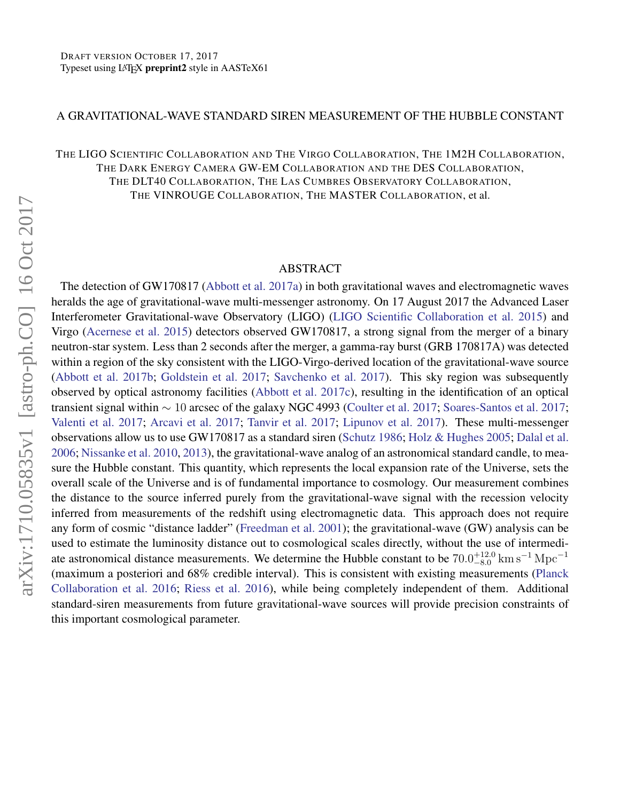#### A GRAVITATIONAL-WAVE STANDARD SIREN MEASUREMENT OF THE HUBBLE CONSTANT

THE LIGO SCIENTIFIC COLLABORATION AND THE VIRGO COLLABORATION, THE 1M2H COLLABORATION, THE DARK ENERGY CAMERA GW-EM COLLABORATION AND THE DES COLLABORATION, THE DLT40 COLLABORATION, THE LAS CUMBRES OBSERVATORY COLLABORATION, THE VINROUGE COLLABORATION, THE MASTER COLLABORATION, et al.

### ABSTRACT

The detection of GW170817 [\(Abbott et al.](#page-14-0) [2017a\)](#page-14-0) in both gravitational waves and electromagnetic waves heralds the age of gravitational-wave multi-messenger astronomy. On 17 August 2017 the Advanced Laser Interferometer Gravitational-wave Observatory (LIGO) [\(LIGO Scientific Collaboration et al.](#page-15-0) [2015\)](#page-15-0) and Virgo [\(Acernese et al.](#page-14-1) [2015\)](#page-14-1) detectors observed GW170817, a strong signal from the merger of a binary neutron-star system. Less than 2 seconds after the merger, a gamma-ray burst (GRB 170817A) was detected within a region of the sky consistent with the LIGO-Virgo-derived location of the gravitational-wave source [\(Abbott et al.](#page-14-2) [2017b;](#page-14-2) [Goldstein et al.](#page-14-3) [2017;](#page-14-3) [Savchenko et al.](#page-15-1) [2017\)](#page-15-1). This sky region was subsequently observed by optical astronomy facilities [\(Abbott et al.](#page-14-4) [2017c\)](#page-14-4), resulting in the identification of an optical transient signal within ∼ 10 arcsec of the galaxy NGC 4993 [\(Coulter et al.](#page-14-5) [2017;](#page-14-5) [Soares-Santos et al.](#page-15-2) [2017;](#page-15-2) [Valenti et al.](#page-15-3) [2017;](#page-15-3) [Arcavi et al.](#page-14-6) [2017;](#page-14-6) [Tanvir et al.](#page-15-4) [2017;](#page-15-4) [Lipunov et al.](#page-15-5) [2017\)](#page-15-5). These multi-messenger observations allow us to use GW170817 as a standard siren [\(Schutz](#page-15-6) [1986;](#page-15-6) [Holz & Hughes](#page-15-7) [2005;](#page-15-7) [Dalal et al.](#page-14-7) [2006;](#page-14-7) [Nissanke et al.](#page-15-8) [2010,](#page-15-8) [2013\)](#page-15-9), the gravitational-wave analog of an astronomical standard candle, to measure the Hubble constant. This quantity, which represents the local expansion rate of the Universe, sets the overall scale of the Universe and is of fundamental importance to cosmology. Our measurement combines the distance to the source inferred purely from the gravitational-wave signal with the recession velocity inferred from measurements of the redshift using electromagnetic data. This approach does not require any form of cosmic "distance ladder" [\(Freedman et al.](#page-14-8) [2001\)](#page-14-8); the gravitational-wave (GW) analysis can be used to estimate the luminosity distance out to cosmological scales directly, without the use of intermediate astronomical distance measurements. We determine the Hubble constant to be  $70.0_{-8.0}^{+12.0}$  km s<sup>-1</sup> Mpc<sup>-1</sup> (maximum a posteriori and 68% credible interval). This is consistent with existing measurements [\(Planck](#page-15-10) [Collaboration et al.](#page-15-10) [2016;](#page-15-10) [Riess et al.](#page-15-11) [2016\)](#page-15-11), while being completely independent of them. Additional standard-siren measurements from future gravitational-wave sources will provide precision constraints of this important cosmological parameter.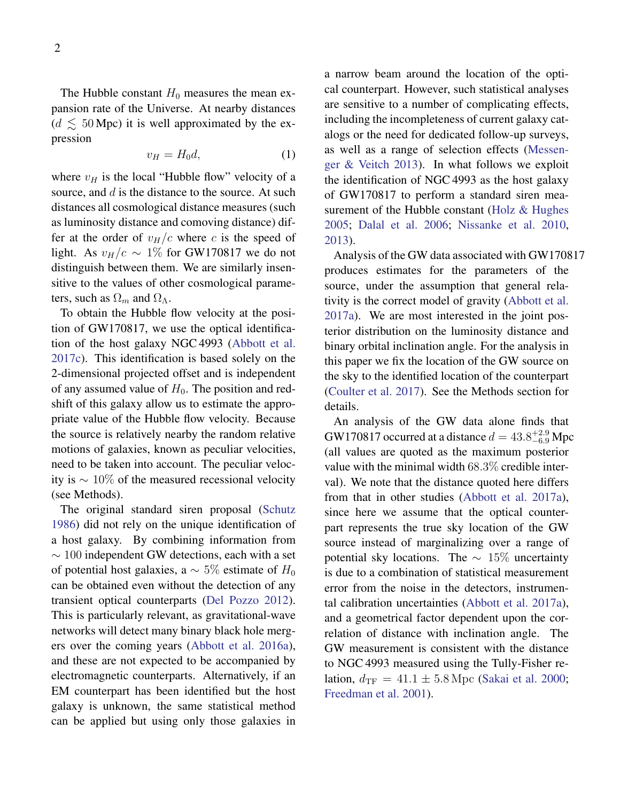The Hubble constant  $H_0$  measures the mean expansion rate of the Universe. At nearby distances  $(d \leq 50$  Mpc) it is well approximated by the expression

<span id="page-2-0"></span>
$$
v_H = H_0 d,\t\t(1)
$$

where  $v_H$  is the local "Hubble flow" velocity of a source, and d is the distance to the source. At such distances all cosmological distance measures (such as luminosity distance and comoving distance) differ at the order of  $v_H/c$  where c is the speed of light. As  $v_H/c \sim 1\%$  for GW170817 we do not distinguish between them. We are similarly insensitive to the values of other cosmological parameters, such as  $\Omega_m$  and  $\Omega_{\Lambda}$ .

To obtain the Hubble flow velocity at the position of GW170817, we use the optical identification of the host galaxy NGC 4993 [\(Abbott et al.](#page-14-4) [2017c\)](#page-14-4). This identification is based solely on the 2-dimensional projected offset and is independent of any assumed value of  $H_0$ . The position and redshift of this galaxy allow us to estimate the appropriate value of the Hubble flow velocity. Because the source is relatively nearby the random relative motions of galaxies, known as peculiar velocities, need to be taken into account. The peculiar velocity is  $\sim 10\%$  of the measured recessional velocity (see Methods).

The original standard siren proposal [\(Schutz](#page-15-6) [1986\)](#page-15-6) did not rely on the unique identification of a host galaxy. By combining information from  $\sim$  100 independent GW detections, each with a set of potential host galaxies, a  $\sim 5\%$  estimate of  $H_0$ can be obtained even without the detection of any transient optical counterparts [\(Del Pozzo](#page-14-9) [2012\)](#page-14-9). This is particularly relevant, as gravitational-wave networks will detect many binary black hole mergers over the coming years [\(Abbott et al.](#page-14-10) [2016a\)](#page-14-10), and these are not expected to be accompanied by electromagnetic counterparts. Alternatively, if an EM counterpart has been identified but the host galaxy is unknown, the same statistical method can be applied but using only those galaxies in

a narrow beam around the location of the optical counterpart. However, such statistical analyses are sensitive to a number of complicating effects, including the incompleteness of current galaxy catalogs or the need for dedicated follow-up surveys, as well as a range of selection effects [\(Messen](#page-15-12)[ger & Veitch](#page-15-12) [2013\)](#page-15-12). In what follows we exploit the identification of NGC 4993 as the host galaxy of GW170817 to perform a standard siren mea-surement of the Hubble constant [\(Holz & Hughes](#page-15-7) [2005;](#page-15-7) [Dalal et al.](#page-14-7) [2006;](#page-14-7) [Nissanke et al.](#page-15-8) [2010,](#page-15-8) [2013\)](#page-15-9).

Analysis of the GW data associated with GW170817 produces estimates for the parameters of the source, under the assumption that general relativity is the correct model of gravity [\(Abbott et al.](#page-14-0) [2017a\)](#page-14-0). We are most interested in the joint posterior distribution on the luminosity distance and binary orbital inclination angle. For the analysis in this paper we fix the location of the GW source on the sky to the identified location of the counterpart [\(Coulter et al.](#page-14-5) [2017\)](#page-14-5). See the Methods section for details.

An analysis of the GW data alone finds that GW170817 occurred at a distance  $d = 43.8^{+2.9}_{-6.9}$  Mpc (all values are quoted as the maximum posterior value with the minimal width 68.3% credible interval). We note that the distance quoted here differs from that in other studies [\(Abbott et al.](#page-14-0) [2017a\)](#page-14-0), since here we assume that the optical counterpart represents the true sky location of the GW source instead of marginalizing over a range of potential sky locations. The  $\sim 15\%$  uncertainty is due to a combination of statistical measurement error from the noise in the detectors, instrumental calibration uncertainties [\(Abbott et al.](#page-14-0) [2017a\)](#page-14-0), and a geometrical factor dependent upon the correlation of distance with inclination angle. The GW measurement is consistent with the distance to NGC 4993 measured using the Tully-Fisher relation,  $d_{\text{TF}} = 41.1 \pm 5.8 \,\text{Mpc}$  [\(Sakai et al.](#page-15-13) [2000;](#page-15-13) [Freedman et al.](#page-14-8) [2001\)](#page-14-8).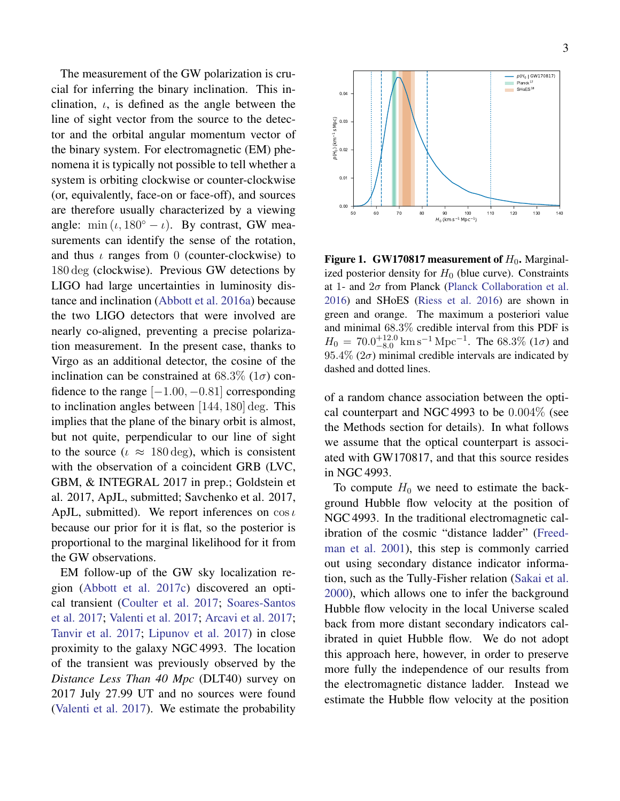The measurement of the GW polarization is crucial for inferring the binary inclination. This inclination,  $\iota$ , is defined as the angle between the line of sight vector from the source to the detector and the orbital angular momentum vector of the binary system. For electromagnetic (EM) phenomena it is typically not possible to tell whether a system is orbiting clockwise or counter-clockwise (or, equivalently, face-on or face-off), and sources are therefore usually characterized by a viewing angle: min  $(\iota, 180^\circ - \iota)$ . By contrast, GW measurements can identify the sense of the rotation, and thus  $\iota$  ranges from 0 (counter-clockwise) to 180 deg (clockwise). Previous GW detections by LIGO had large uncertainties in luminosity distance and inclination [\(Abbott et al.](#page-14-10) [2016a\)](#page-14-10) because the two LIGO detectors that were involved are nearly co-aligned, preventing a precise polarization measurement. In the present case, thanks to Virgo as an additional detector, the cosine of the inclination can be constrained at  $68.3\%$  ( $1\sigma$ ) confidence to the range  $[-1.00, -0.81]$  corresponding to inclination angles between [144, 180] deg. This implies that the plane of the binary orbit is almost, but not quite, perpendicular to our line of sight to the source ( $\iota \approx 180 \text{ deg}$ ), which is consistent with the observation of a coincident GRB (LVC, GBM, & INTEGRAL 2017 in prep.; Goldstein et al. 2017, ApJL, submitted; Savchenko et al. 2017, ApJL, submitted). We report inferences on  $\cos \iota$ because our prior for it is flat, so the posterior is proportional to the marginal likelihood for it from the GW observations.

EM follow-up of the GW sky localization region [\(Abbott et al.](#page-14-4) [2017c\)](#page-14-4) discovered an optical transient [\(Coulter et al.](#page-14-5) [2017;](#page-14-5) [Soares-Santos](#page-15-2) [et al.](#page-15-2) [2017;](#page-15-2) [Valenti et al.](#page-15-3) [2017;](#page-15-3) [Arcavi et al.](#page-14-6) [2017;](#page-14-6) [Tanvir et al.](#page-15-4) [2017;](#page-15-4) [Lipunov et al.](#page-15-5) [2017\)](#page-15-5) in close proximity to the galaxy NGC 4993. The location of the transient was previously observed by the *Distance Less Than 40 Mpc* (DLT40) survey on 2017 July 27.99 UT and no sources were found [\(Valenti et al.](#page-15-3) [2017\)](#page-15-3). We estimate the probability



<span id="page-3-0"></span>**Figure 1. GW170817 measurement of**  $H_0$ **.** Marginalized posterior density for  $H_0$  (blue curve). Constraints at 1- and  $2\sigma$  from Planck [\(Planck Collaboration et al.](#page-15-10) [2016\)](#page-15-10) and SHoES [\(Riess et al.](#page-15-11) [2016\)](#page-15-11) are shown in green and orange. The maximum a posteriori value and minimal 68.3% credible interval from this PDF is  $H_0 = 70.0^{+12.0}_{-8.0}$  km s<sup>-1</sup> Mpc<sup>-1</sup>. The 68.3% (1 $\sigma$ ) and 95.4% ( $2\sigma$ ) minimal credible intervals are indicated by dashed and dotted lines.

of a random chance association between the optical counterpart and NGC 4993 to be 0.004% (see the Methods section for details). In what follows we assume that the optical counterpart is associated with GW170817, and that this source resides in NGC 4993.

To compute  $H_0$  we need to estimate the background Hubble flow velocity at the position of NGC 4993. In the traditional electromagnetic calibration of the cosmic "distance ladder" [\(Freed](#page-14-8)[man et al.](#page-14-8) [2001\)](#page-14-8), this step is commonly carried out using secondary distance indicator information, such as the Tully-Fisher relation [\(Sakai et al.](#page-15-13) [2000\)](#page-15-13), which allows one to infer the background Hubble flow velocity in the local Universe scaled back from more distant secondary indicators calibrated in quiet Hubble flow. We do not adopt this approach here, however, in order to preserve more fully the independence of our results from the electromagnetic distance ladder. Instead we estimate the Hubble flow velocity at the position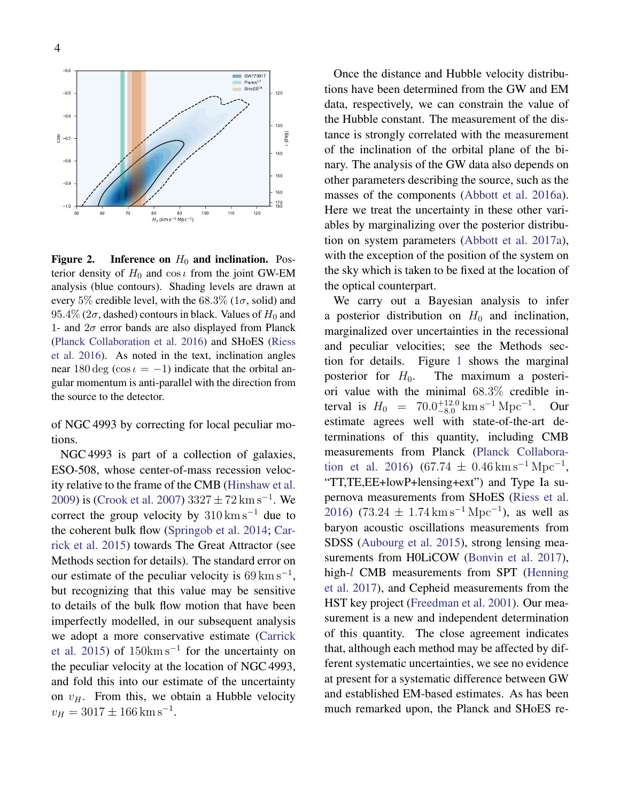

(<sup>d</sup> eg)

<span id="page-4-0"></span>Figure 2. Inference on  $H_0$  and inclination. Posterior density of  $H_0$  and cos  $\iota$  from the joint GW-EM analysis (blue contours). Shading levels are drawn at every 5% credible level, with the 68.3% ( $1\sigma$ , solid) and  $95.4\%$  ( $2\sigma$ , dashed) contours in black. Values of  $H_0$  and 1- and  $2\sigma$  error bands are also displayed from Planck [\(Planck Collaboration et al.](#page-15-10) [2016\)](#page-15-10) and SHoES [\(Riess](#page-15-11) [et al.](#page-15-11) [2016\)](#page-15-11). As noted in the text, inclination angles near 180 deg (cos  $\iota = -1$ ) indicate that the orbital angular momentum is anti-parallel with the direction from the source to the detector.

of NGC 4993 by correcting for local peculiar motions.

NGC 4993 is part of a collection of galaxies, ESO-508, whose center-of-mass recession velocity relative to the frame of the CMB [\(Hinshaw et al.](#page-15-14) [2009\)](#page-15-14) is [\(Crook et al.](#page-14-11) [2007\)](#page-14-11)  $3327 \pm 72 \,{\rm km \, s^{-1}}$ . We correct the group velocity by  $310 \text{ km s}^{-1}$  due to the coherent bulk flow [\(Springob et al.](#page-15-15) [2014;](#page-15-15) [Car](#page-14-12)[rick et al.](#page-14-12) [2015\)](#page-14-12) towards The Great Attractor (see Methods section for details). The standard error on our estimate of the peculiar velocity is  $69 \text{ km s}^{-1}$ , but recognizing that this value may be sensitive to details of the bulk flow motion that have been imperfectly modelled, in our subsequent analysis we adopt a more conservative estimate [\(Carrick](#page-14-12) [et al.](#page-14-12) [2015\)](#page-14-12) of  $150 \text{km s}^{-1}$  for the uncertainty on the peculiar velocity at the location of NGC 4993, and fold this into our estimate of the uncertainty on  $v_H$ . From this, we obtain a Hubble velocity  $v_H = 3017 \pm 166$  km s<sup>-1</sup>.

Once the distance and Hubble velocity distributions have been determined from the GW and EM data, respectively, we can constrain the value of the Hubble constant. The measurement of the distance is strongly correlated with the measurement of the inclination of the orbital plane of the binary. The analysis of the GW data also depends on other parameters describing the source, such as the masses of the components [\(Abbott et al.](#page-14-10) [2016a\)](#page-14-10). Here we treat the uncertainty in these other variables by marginalizing over the posterior distribution on system parameters [\(Abbott et al.](#page-14-0) [2017a\)](#page-14-0), with the exception of the position of the system on the sky which is taken to be fixed at the location of the optical counterpart.

We carry out a Bayesian analysis to infer a posterior distribution on  $H_0$  and inclination, marginalized over uncertainties in the recessional and peculiar velocities; see the Methods section for details. Figure [1](#page-3-0) shows the marginal posterior for  $H_0$ . The maximum a posteriori value with the minimal 68.3% credible interval is  $H_0 = 70.0^{+12.0}_{-8.0}$  km s<sup>-1</sup> Mpc<sup>-1</sup>. Our estimate agrees well with state-of-the-art determinations of this quantity, including CMB measurements from Planck [\(Planck Collabora](#page-15-10)[tion et al.](#page-15-10) [2016\)](#page-15-10) (67.74  $\pm$  0.46 km s<sup>-1</sup> Mpc<sup>-1</sup>, "TT,TE,EE+lowP+lensing+ext") and Type Ia supernova measurements from SHoES [\(Riess et al.](#page-15-11) [2016\)](#page-15-11) (73.24  $\pm$  1.74 km s<sup>-1</sup> Mpc<sup>-1</sup>), as well as baryon acoustic oscillations measurements from SDSS [\(Aubourg et al.](#page-14-13) [2015\)](#page-14-13), strong lensing mea-surements from H0LiCOW [\(Bonvin et al.](#page-14-14) [2017\)](#page-14-14), high-l CMB measurements from SPT [\(Henning](#page-14-15) [et al.](#page-14-15) [2017\)](#page-14-15), and Cepheid measurements from the HST key project [\(Freedman et al.](#page-14-8) [2001\)](#page-14-8). Our measurement is a new and independent determination of this quantity. The close agreement indicates that, although each method may be affected by different systematic uncertainties, we see no evidence at present for a systematic difference between GW and established EM-based estimates. As has been much remarked upon, the Planck and SHoES re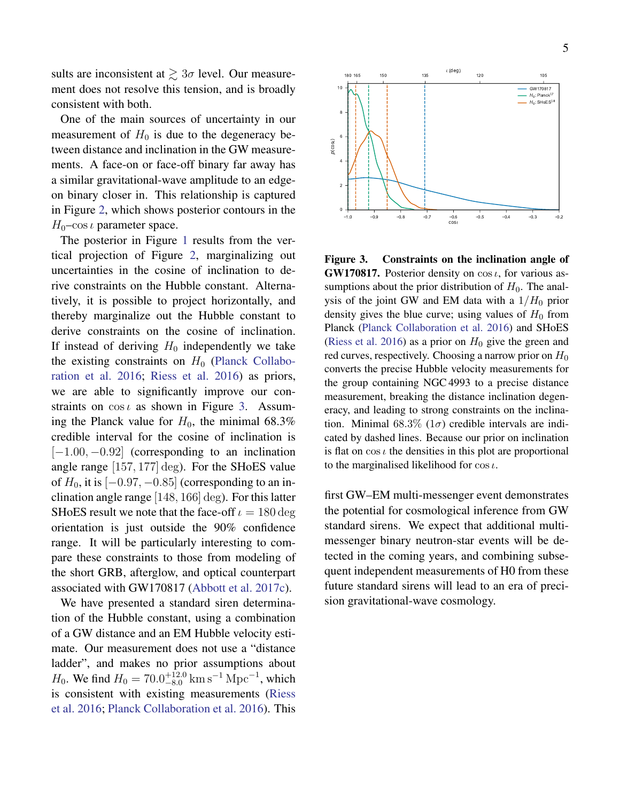sults are inconsistent at  $\gtrsim 3\sigma$  level. Our measurement does not resolve this tension, and is broadly consistent with both.

One of the main sources of uncertainty in our measurement of  $H_0$  is due to the degeneracy between distance and inclination in the GW measurements. A face-on or face-off binary far away has a similar gravitational-wave amplitude to an edgeon binary closer in. This relationship is captured in Figure [2,](#page-4-0) which shows posterior contours in the  $H_0$ –cos  $\iota$  parameter space.

The posterior in Figure [1](#page-3-0) results from the vertical projection of Figure [2,](#page-4-0) marginalizing out uncertainties in the cosine of inclination to derive constraints on the Hubble constant. Alternatively, it is possible to project horizontally, and thereby marginalize out the Hubble constant to derive constraints on the cosine of inclination. If instead of deriving  $H_0$  independently we take the existing constraints on  $H_0$  [\(Planck Collabo](#page-15-10)[ration et al.](#page-15-10) [2016;](#page-15-10) [Riess et al.](#page-15-11) [2016\)](#page-15-11) as priors, we are able to significantly improve our constraints on  $\cos \iota$  as shown in Figure [3.](#page-5-0) Assuming the Planck value for  $H_0$ , the minimal 68.3% credible interval for the cosine of inclination is  $[-1.00, -0.92]$  (corresponding to an inclination angle range [157, 177] deg). For the SHoES value of  $H_0$ , it is  $[-0.97, -0.85]$  (corresponding to an inclination angle range [148, 166] deg). For this latter SHoES result we note that the face-off  $\iota = 180 \deg$ orientation is just outside the 90% confidence range. It will be particularly interesting to compare these constraints to those from modeling of the short GRB, afterglow, and optical counterpart associated with GW170817 [\(Abbott et al.](#page-14-4) [2017c\)](#page-14-4).

We have presented a standard siren determination of the Hubble constant, using a combination of a GW distance and an EM Hubble velocity estimate. Our measurement does not use a "distance ladder", and makes no prior assumptions about  $H_0$ . We find  $H_0 = 70.0^{+12.0}_{-8.0}$  km s<sup>-1</sup> Mpc<sup>-1</sup>, which is consistent with existing measurements [\(Riess](#page-15-11) [et al.](#page-15-11) [2016;](#page-15-11) [Planck Collaboration et al.](#page-15-10) [2016\)](#page-15-10). This



<span id="page-5-0"></span>Figure 3. Constraints on the inclination angle of GW170817. Posterior density on  $\cos \iota$ , for various assumptions about the prior distribution of  $H_0$ . The analysis of the joint GW and EM data with a  $1/H_0$  prior density gives the blue curve; using values of  $H_0$  from Planck [\(Planck Collaboration et al.](#page-15-10) [2016\)](#page-15-10) and SHoES [\(Riess et al.](#page-15-11) [2016\)](#page-15-11) as a prior on  $H_0$  give the green and red curves, respectively. Choosing a narrow prior on  $H_0$ converts the precise Hubble velocity measurements for the group containing NGC 4993 to a precise distance measurement, breaking the distance inclination degeneracy, and leading to strong constraints on the inclination. Minimal 68.3% ( $1\sigma$ ) credible intervals are indicated by dashed lines. Because our prior on inclination is flat on  $\cos \iota$  the densities in this plot are proportional to the marginalised likelihood for  $\cos \iota$ .

first GW–EM multi-messenger event demonstrates the potential for cosmological inference from GW standard sirens. We expect that additional multimessenger binary neutron-star events will be detected in the coming years, and combining subsequent independent measurements of H0 from these future standard sirens will lead to an era of precision gravitational-wave cosmology.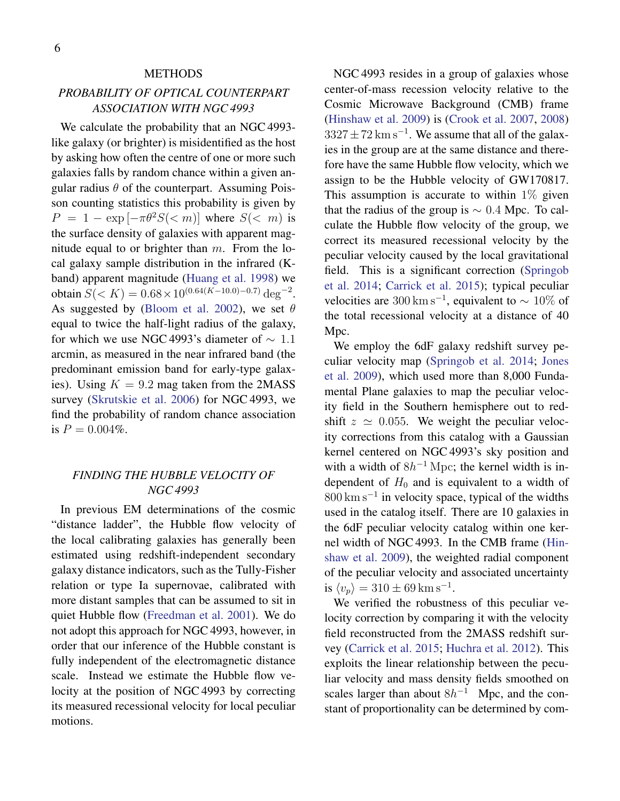#### **METHODS**

# *PROBABILITY OF OPTICAL COUNTERPART ASSOCIATION WITH NGC 4993*

We calculate the probability that an NGC 4993 like galaxy (or brighter) is misidentified as the host by asking how often the centre of one or more such galaxies falls by random chance within a given angular radius  $\theta$  of the counterpart. Assuming Poisson counting statistics this probability is given by  $P = 1 - \exp[-\pi \theta^2 S(\langle m] \cdot \theta^2)$  where  $S(\langle m \rangle \cdot \theta^2)$  is the surface density of galaxies with apparent magnitude equal to or brighter than  $m$ . From the local galaxy sample distribution in the infrared (Kband) apparent magnitude [\(Huang et al.](#page-15-16) [1998\)](#page-15-16) we obtain  $S(< K) = 0.68 \times 10^{(0.64(K-10.0)-0.7)} \text{ deg}^{-2}$ . As suggested by [\(Bloom et al.](#page-14-16) [2002\)](#page-14-16), we set  $\theta$ equal to twice the half-light radius of the galaxy, for which we use NGC 4993's diameter of  $\sim 1.1$ arcmin, as measured in the near infrared band (the predominant emission band for early-type galaxies). Using  $K = 9.2$  mag taken from the 2MASS survey [\(Skrutskie et al.](#page-15-17) [2006\)](#page-15-17) for NGC 4993, we find the probability of random chance association is  $P = 0.004\%$ .

## *FINDING THE HUBBLE VELOCITY OF NGC 4993*

In previous EM determinations of the cosmic "distance ladder", the Hubble flow velocity of the local calibrating galaxies has generally been estimated using redshift-independent secondary galaxy distance indicators, such as the Tully-Fisher relation or type Ia supernovae, calibrated with more distant samples that can be assumed to sit in quiet Hubble flow [\(Freedman et al.](#page-14-8) [2001\)](#page-14-8). We do not adopt this approach for NGC 4993, however, in order that our inference of the Hubble constant is fully independent of the electromagnetic distance scale. Instead we estimate the Hubble flow velocity at the position of NGC 4993 by correcting its measured recessional velocity for local peculiar motions.

NGC 4993 resides in a group of galaxies whose center-of-mass recession velocity relative to the Cosmic Microwave Background (CMB) frame [\(Hinshaw et al.](#page-15-14) [2009\)](#page-15-14) is [\(Crook et al.](#page-14-11) [2007,](#page-14-11) [2008\)](#page-14-17)  $3327 \pm 72$  km s<sup>-1</sup>. We assume that all of the galaxies in the group are at the same distance and therefore have the same Hubble flow velocity, which we assign to be the Hubble velocity of GW170817. This assumption is accurate to within  $1\%$  given that the radius of the group is  $\sim 0.4$  Mpc. To calculate the Hubble flow velocity of the group, we correct its measured recessional velocity by the peculiar velocity caused by the local gravitational field. This is a significant correction [\(Springob](#page-15-15) [et al.](#page-15-15) [2014;](#page-15-15) [Carrick et al.](#page-14-12) [2015\)](#page-14-12); typical peculiar velocities are 300 km s<sup>-1</sup>, equivalent to  $\sim 10\%$  of the total recessional velocity at a distance of 40 M<sub>pc</sub>.

We employ the 6dF galaxy redshift survey peculiar velocity map [\(Springob et al.](#page-15-15) [2014;](#page-15-15) [Jones](#page-15-18) [et al.](#page-15-18) [2009\)](#page-15-18), which used more than 8,000 Fundamental Plane galaxies to map the peculiar velocity field in the Southern hemisphere out to redshift  $z \approx 0.055$ . We weight the peculiar velocity corrections from this catalog with a Gaussian kernel centered on NGC 4993's sky position and with a width of  $8h^{-1}$  Mpc; the kernel width is independent of  $H_0$  and is equivalent to a width of 800 km s<sup>-1</sup> in velocity space, typical of the widths used in the catalog itself. There are 10 galaxies in the 6dF peculiar velocity catalog within one kernel width of NGC 4993. In the CMB frame [\(Hin](#page-15-14)[shaw et al.](#page-15-14) [2009\)](#page-15-14), the weighted radial component of the peculiar velocity and associated uncertainty is  $\langle v_p \rangle = 310 \pm 69 \,\mathrm{km \, s^{-1}}.$ 

We verified the robustness of this peculiar velocity correction by comparing it with the velocity field reconstructed from the 2MASS redshift survey [\(Carrick et al.](#page-14-12) [2015;](#page-14-12) [Huchra et al.](#page-15-19) [2012\)](#page-15-19). This exploits the linear relationship between the peculiar velocity and mass density fields smoothed on scales larger than about  $8h^{-1}$  Mpc, and the constant of proportionality can be determined by com-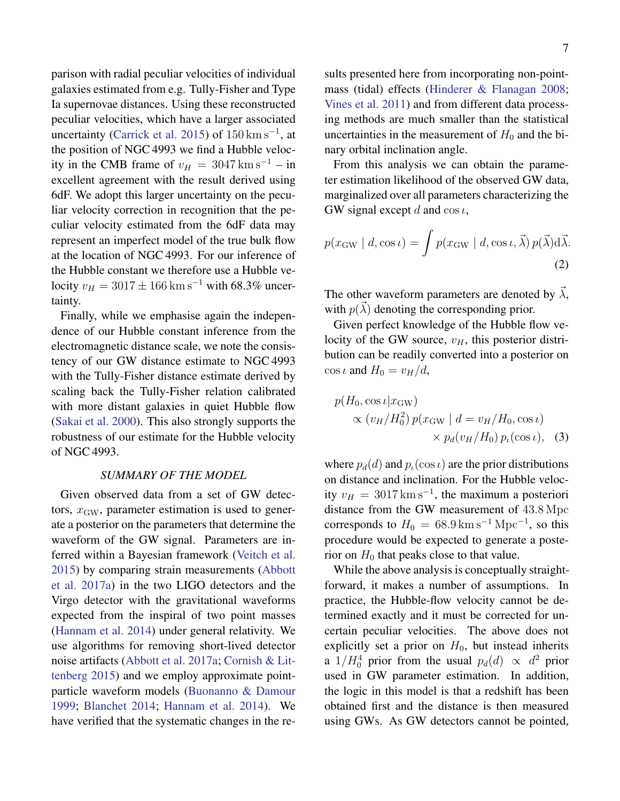parison with radial peculiar velocities of individual galaxies estimated from e.g. Tully-Fisher and Type Ia supernovae distances. Using these reconstructed peculiar velocities, which have a larger associated uncertainty [\(Carrick et al.](#page-14-12) [2015\)](#page-14-12) of  $150 \,\mathrm{km \, s^{-1}}$ , at the position of NGC 4993 we find a Hubble velocity in the CMB frame of  $v_H = 3047 \text{ km s}^{-1} - \text{in}$ excellent agreement with the result derived using 6dF. We adopt this larger uncertainty on the peculiar velocity correction in recognition that the peculiar velocity estimated from the 6dF data may represent an imperfect model of the true bulk flow at the location of NGC 4993. For our inference of the Hubble constant we therefore use a Hubble velocity  $v_H = 3017 \pm 166$  km s<sup>-1</sup> with 68.3% uncertainty.

Finally, while we emphasise again the independence of our Hubble constant inference from the electromagnetic distance scale, we note the consistency of our GW distance estimate to NGC 4993 with the Tully-Fisher distance estimate derived by scaling back the Tully-Fisher relation calibrated with more distant galaxies in quiet Hubble flow [\(Sakai et al.](#page-15-13) [2000\)](#page-15-13). This also strongly supports the robustness of our estimate for the Hubble velocity of NGC 4993.

#### *SUMMARY OF THE MODEL*

Given observed data from a set of GW detectors,  $x<sub>GW</sub>$ , parameter estimation is used to generate a posterior on the parameters that determine the waveform of the GW signal. Parameters are inferred within a Bayesian framework [\(Veitch et al.](#page-15-20) [2015\)](#page-15-20) by comparing strain measurements [\(Abbott](#page-14-0) [et al.](#page-14-0) [2017a\)](#page-14-0) in the two LIGO detectors and the Virgo detector with the gravitational waveforms expected from the inspiral of two point masses [\(Hannam et al.](#page-14-18) [2014\)](#page-14-18) under general relativity. We use algorithms for removing short-lived detector noise artifacts [\(Abbott et al.](#page-14-0) [2017a;](#page-14-0) [Cornish & Lit](#page-14-19)[tenberg](#page-14-19) [2015\)](#page-14-19) and we employ approximate pointparticle waveform models [\(Buonanno & Damour](#page-14-20) [1999;](#page-14-20) [Blanchet](#page-14-21) [2014;](#page-14-21) [Hannam et al.](#page-14-18) [2014\)](#page-14-18). We have verified that the systematic changes in the results presented here from incorporating non-pointmass (tidal) effects [\(Hinderer & Flanagan](#page-15-21) [2008;](#page-15-21) [Vines et al.](#page-15-22) [2011\)](#page-15-22) and from different data processing methods are much smaller than the statistical uncertainties in the measurement of  $H_0$  and the binary orbital inclination angle.

From this analysis we can obtain the parameter estimation likelihood of the observed GW data, marginalized over all parameters characterizing the GW signal except d and  $\cos t$ ,

$$
p(x_{\rm GW} \mid d, \cos \iota) = \int p(x_{\rm GW} \mid d, \cos \iota, \vec{\lambda}) p(\vec{\lambda}) d\vec{\lambda}.
$$
\n(2)

The other waveform parameters are denoted by  $\vec{\lambda}$ , with  $p(\vec{\lambda})$  denoting the corresponding prior.

Given perfect knowledge of the Hubble flow velocity of the GW source,  $v_H$ , this posterior distribution can be readily converted into a posterior on  $\cos \iota$  and  $H_0 = v_H/d$ ,

$$
p(H_0, \cos \iota | x_{\rm GW})
$$
  
 
$$
\propto (v_H/H_0^2) p(x_{\rm GW} | d = v_H/H_0, \cos \iota)
$$
  
 
$$
\times p_d(v_H/H_0) p_\iota(\cos \iota), \quad (3)
$$

where  $p_d(d)$  and  $p_t(\cos t)$  are the prior distributions on distance and inclination. For the Hubble velocity  $v_H = 3017 \,\mathrm{km \, s^{-1}}$ , the maximum a posteriori distance from the GW measurement of 43.8 Mpc corresponds to  $H_0 = 68.9 \,\mathrm{km \, s^{-1} \, Mpc^{-1}}$ , so this procedure would be expected to generate a posterior on  $H_0$  that peaks close to that value.

While the above analysis is conceptually straightforward, it makes a number of assumptions. In practice, the Hubble-flow velocity cannot be determined exactly and it must be corrected for uncertain peculiar velocities. The above does not explicitly set a prior on  $H_0$ , but instead inherits a  $1/H_0^4$  prior from the usual  $p_d(d) \propto d^2$  prior used in GW parameter estimation. In addition, the logic in this model is that a redshift has been obtained first and the distance is then measured using GWs. As GW detectors cannot be pointed,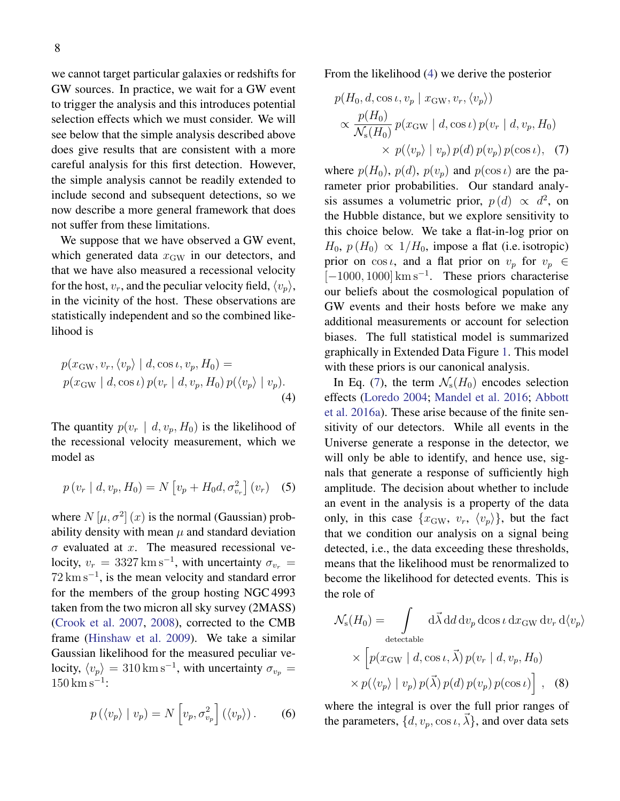we cannot target particular galaxies or redshifts for GW sources. In practice, we wait for a GW event to trigger the analysis and this introduces potential selection effects which we must consider. We will see below that the simple analysis described above does give results that are consistent with a more careful analysis for this first detection. However, the simple analysis cannot be readily extended to include second and subsequent detections, so we now describe a more general framework that does not suffer from these limitations.

We suppose that we have observed a GW event, which generated data  $x_{\text{GW}}$  in our detectors, and that we have also measured a recessional velocity for the host,  $v_r$ , and the peculiar velocity field,  $\langle v_p \rangle$ , in the vicinity of the host. These observations are statistically independent and so the combined likelihood is

$$
p(x_{\rm GW}, v_r, \langle v_p \rangle \mid d, \cos \iota, v_p, H_0) =
$$
  
 
$$
p(x_{\rm GW} \mid d, \cos \iota) p(v_r \mid d, v_p, H_0) p(\langle v_p \rangle \mid v_p).
$$
  
(4)

The quantity  $p(v_r | d, v_p, H_0)$  is the likelihood of the recessional velocity measurement, which we model as

$$
p(v_r | d, v_p, H_0) = N[v_p + H_0 d, \sigma_{v_r}^2](v_r)
$$
 (5)

where  $N[\mu, \sigma^2](x)$  is the normal (Gaussian) probability density with mean  $\mu$  and standard deviation  $\sigma$  evaluated at x. The measured recessional velocity,  $v_r = 3327 \,\mathrm{km \, s^{-1}}$ , with uncertainty  $\sigma_{v_r} =$  $72 \text{ km s}^{-1}$ , is the mean velocity and standard error for the members of the group hosting NGC 4993 taken from the two micron all sky survey (2MASS) [\(Crook et al.](#page-14-11) [2007,](#page-14-11) [2008\)](#page-14-17), corrected to the CMB frame [\(Hinshaw et al.](#page-15-14) [2009\)](#page-15-14). We take a similar Gaussian likelihood for the measured peculiar velocity,  $\langle v_p \rangle = 310 \,\mathrm{km \,s^{-1}}$ , with uncertainty  $\sigma_{v_p} =$  $150 \,\mathrm{km\,s^{-1}}$ :

$$
p(\langle v_p \rangle \mid v_p) = N \left[ v_p, \sigma_{v_p}^2 \right] (\langle v_p \rangle). \tag{6}
$$

From the likelihood [\(4\)](#page-8-0) we derive the posterior

<span id="page-8-1"></span>
$$
p(H_0, d, \cos \iota, v_p \mid x_{\text{GW}}, v_r, \langle v_p \rangle)
$$
  
 
$$
\propto \frac{p(H_0)}{\mathcal{N}_s(H_0)} p(x_{\text{GW}} \mid d, \cos \iota) p(v_r \mid d, v_p, H_0)
$$
  
 
$$
\times p(\langle v_p \rangle \mid v_p) p(d) p(v_p) p(\cos \iota), \quad (7)
$$

where  $p(H_0)$ ,  $p(d)$ ,  $p(v_p)$  and  $p(\cos t)$  are the parameter prior probabilities. Our standard analysis assumes a volumetric prior,  $p(d) \propto d^2$ , on the Hubble distance, but we explore sensitivity to this choice below. We take a flat-in-log prior on  $H_0$ ,  $p(H_0) \propto 1/H_0$ , impose a flat (i.e. isotropic) prior on  $\cos \iota$ , and a flat prior on  $v_p$  for  $v_p \in$ [-1000, 1000] km s<sup>-1</sup>. These priors characterise our beliefs about the cosmological population of GW events and their hosts before we make any additional measurements or account for selection biases. The full statistical model is summarized graphically in Extended Data Figure [1.](#page-3-0) This model with these priors is our canonical analysis.

<span id="page-8-0"></span>In Eq. [\(7\)](#page-8-1), the term  $\mathcal{N}_s(H_0)$  encodes selection effects [\(Loredo](#page-15-23) [2004;](#page-15-23) [Mandel et al.](#page-15-24) [2016;](#page-15-24) [Abbott](#page-14-10) [et al.](#page-14-10) [2016a\)](#page-14-10). These arise because of the finite sensitivity of our detectors. While all events in the Universe generate a response in the detector, we will only be able to identify, and hence use, signals that generate a response of sufficiently high amplitude. The decision about whether to include an event in the analysis is a property of the data only, in this case  $\{x_{\rm GW}, v_r, \langle v_p \rangle\}$ , but the fact that we condition our analysis on a signal being detected, i.e., the data exceeding these thresholds, means that the likelihood must be renormalized to become the likelihood for detected events. This is the role of

<span id="page-8-2"></span>
$$
\mathcal{N}_{s}(H_{0}) = \int d\vec{\lambda} dd dv_{p} d\cos \iota dx_{GW} dv_{r} d\langle v_{p} \rangle
$$
  
detectable  

$$
\times \left[ p(x_{GW} | d, \cos \iota, \vec{\lambda}) p(v_{r} | d, v_{p}, H_{0}) \times p(\langle v_{p} \rangle | v_{p}) p(\vec{\lambda}) p(d) p(v_{p}) p(\cos \iota) \right], (8)
$$

where the integral is over the full prior ranges of the parameters,  $\{d, v_p, \cos \iota, \vec{\lambda}\}\$ , and over data sets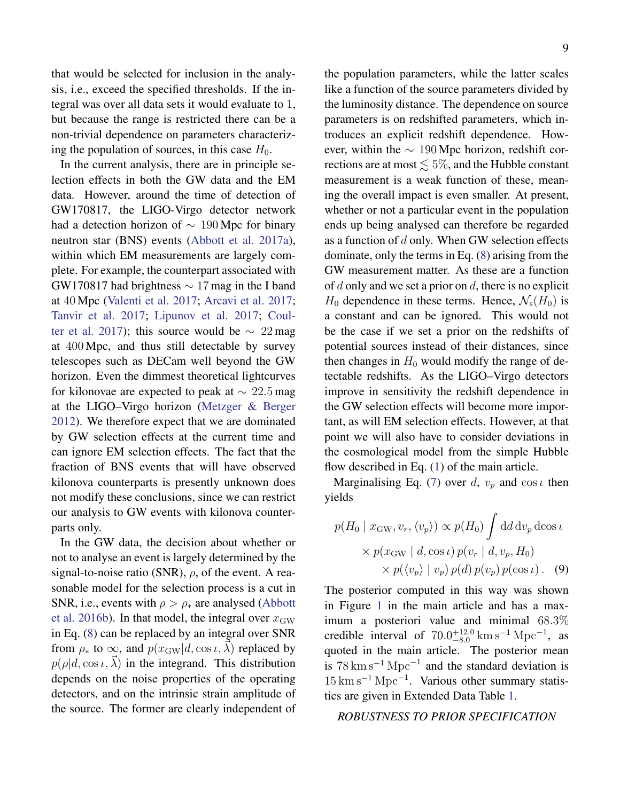that would be selected for inclusion in the analysis, i.e., exceed the specified thresholds. If the integral was over all data sets it would evaluate to 1, but because the range is restricted there can be a non-trivial dependence on parameters characterizing the population of sources, in this case  $H_0$ .

In the current analysis, there are in principle selection effects in both the GW data and the EM data. However, around the time of detection of GW170817, the LIGO-Virgo detector network had a detection horizon of  $\sim 190$  Mpc for binary neutron star (BNS) events [\(Abbott et al.](#page-14-0) [2017a\)](#page-14-0), within which EM measurements are largely complete. For example, the counterpart associated with GW170817 had brightness ∼ 17 mag in the I band at 40 Mpc [\(Valenti et al.](#page-15-3) [2017;](#page-15-3) [Arcavi et al.](#page-14-6) [2017;](#page-14-6) [Tanvir et al.](#page-15-4) [2017;](#page-15-4) [Lipunov et al.](#page-15-5) [2017;](#page-15-5) [Coul](#page-14-5)[ter et al.](#page-14-5) [2017\)](#page-14-5); this source would be  $\sim 22 \,\text{mag}$ at 400 Mpc, and thus still detectable by survey telescopes such as DECam well beyond the GW horizon. Even the dimmest theoretical lightcurves for kilonovae are expected to peak at  $\sim 22.5$  mag at the LIGO–Virgo horizon [\(Metzger & Berger](#page-15-25) [2012\)](#page-15-25). We therefore expect that we are dominated by GW selection effects at the current time and can ignore EM selection effects. The fact that the fraction of BNS events that will have observed kilonova counterparts is presently unknown does not modify these conclusions, since we can restrict our analysis to GW events with kilonova counterparts only.

In the GW data, the decision about whether or not to analyse an event is largely determined by the signal-to-noise ratio (SNR),  $\rho$ , of the event. A reasonable model for the selection process is a cut in SNR, i.e., events with  $\rho > \rho_*$  are analysed [\(Abbott](#page-14-22) [et al.](#page-14-22) [2016b\)](#page-14-22). In that model, the integral over  $x_{\rm GW}$ in Eq. [\(8\)](#page-8-2) can be replaced by an integral over SNR from  $\rho_*$  to  $\infty$ , and  $p(x_{\text{GW}}|d, \cos \iota, \lambda)$  replaced by  $p(\rho|d, \cos \iota, \vec{\lambda})$  in the integrand. This distribution depends on the noise properties of the operating detectors, and on the intrinsic strain amplitude of the source. The former are clearly independent of the population parameters, while the latter scales like a function of the source parameters divided by the luminosity distance. The dependence on source parameters is on redshifted parameters, which introduces an explicit redshift dependence. However, within the  $\sim 190$  Mpc horizon, redshift corrections are at most  $\leq 5\%$ , and the Hubble constant measurement is a weak function of these, meaning the overall impact is even smaller. At present, whether or not a particular event in the population ends up being analysed can therefore be regarded as a function of  $d$  only. When GW selection effects dominate, only the terms in Eq. [\(8\)](#page-8-2) arising from the GW measurement matter. As these are a function of d only and we set a prior on d, there is no explicit  $H_0$  dependence in these terms. Hence,  $\mathcal{N}_s(H_0)$  is a constant and can be ignored. This would not be the case if we set a prior on the redshifts of potential sources instead of their distances, since then changes in  $H_0$  would modify the range of detectable redshifts. As the LIGO–Virgo detectors improve in sensitivity the redshift dependence in the GW selection effects will become more important, as will EM selection effects. However, at that point we will also have to consider deviations in the cosmological model from the simple Hubble flow described in Eq. [\(1\)](#page-2-0) of the main article.

Marginalising Eq. [\(7\)](#page-8-1) over d,  $v_p$  and cos  $\iota$  then yields

$$
p(H_0 | x_{\rm GW}, v_r, \langle v_p \rangle) \propto p(H_0) \int \mathrm{d}d \,\mathrm{d}v_p \,\mathrm{d}\cos\iota
$$

$$
\times p(x_{\rm GW} | d, \cos\iota) p(v_r | d, v_p, H_0)
$$

$$
\times p(\langle v_p \rangle | v_p) p(d) p(v_p) p(\cos\iota). \quad (9)
$$

The posterior computed in this way was shown in Figure [1](#page-3-0) in the main article and has a maximum a posteriori value and minimal 68.3% credible interval of  $70.0^{+12.0}_{-8.0}$  km s<sup>-1</sup> Mpc<sup>-1</sup>, as quoted in the main article. The posterior mean is  $78 \text{ km s}^{-1} \text{ Mpc}^{-1}$  and the standard deviation is  $15 \text{ km s}^{-1} \text{ Mpc}^{-1}$ . Various other summary statistics are given in Extended Data Table [1.](#page-12-0)

### *ROBUSTNESS TO PRIOR SPECIFICATION*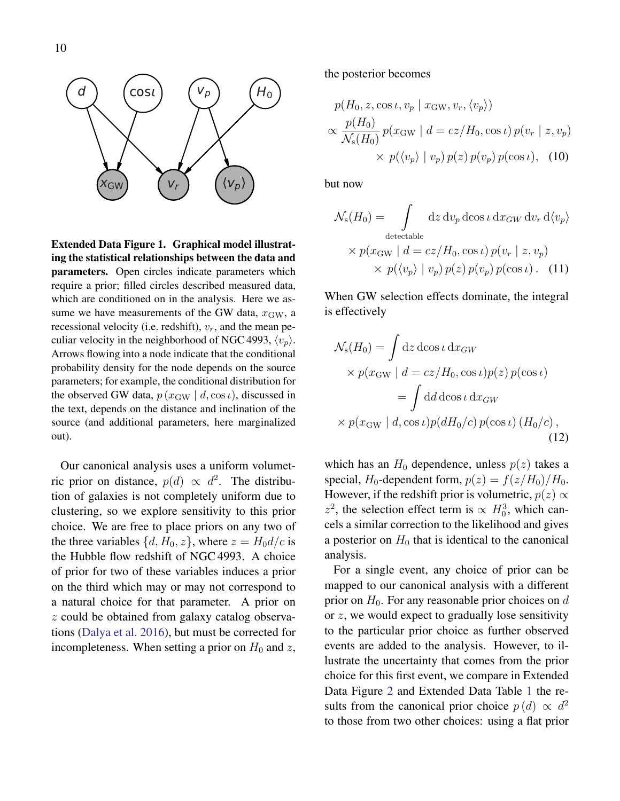

Extended Data Figure 1. Graphical model illustrating the statistical relationships between the data and parameters. Open circles indicate parameters which require a prior; filled circles described measured data, which are conditioned on in the analysis. Here we assume we have measurements of the GW data,  $x_{\text{GW}}$ , a recessional velocity (i.e. redshift),  $v_r$ , and the mean peculiar velocity in the neighborhood of NGC 4993,  $\langle v_n \rangle$ . Arrows flowing into a node indicate that the conditional probability density for the node depends on the source parameters; for example, the conditional distribution for the observed GW data,  $p(x_{\text{GW}} | d, \cos t)$ , discussed in the text, depends on the distance and inclination of the source (and additional parameters, here marginalized out).

Our canonical analysis uses a uniform volumetric prior on distance,  $p(d) \propto d^2$ . The distribution of galaxies is not completely uniform due to clustering, so we explore sensitivity to this prior choice. We are free to place priors on any two of the three variables  $\{d, H_0, z\}$ , where  $z = H_0 d/c$  is the Hubble flow redshift of NGC 4993. A choice of prior for two of these variables induces a prior on the third which may or may not correspond to a natural choice for that parameter. A prior on z could be obtained from galaxy catalog observations [\(Dalya et al.](#page-14-23) [2016\)](#page-14-23), but must be corrected for incompleteness. When setting a prior on  $H_0$  and z, the posterior becomes

$$
p(H_0, z, \cos \iota, v_p \mid x_{\text{GW}}, v_r, \langle v_p \rangle)
$$
  
 
$$
\propto \frac{p(H_0)}{\mathcal{N}_s(H_0)} p(x_{\text{GW}} \mid d = cz/H_0, \cos \iota) p(v_r \mid z, v_p)
$$
  
 
$$
\times p(\langle v_p \rangle \mid v_p) p(z) p(v_p) p(\cos \iota), \quad (10)
$$

but now

$$
\mathcal{N}_{s}(H_{0}) = \int d z d v_{p} d \cos \iota d x_{GW} d v_{r} d \langle v_{p} \rangle
$$
  
detectable  

$$
\times p(x_{GW} | d = cz/H_{0}, \cos \iota) p(v_{r} | z, v_{p})
$$
  

$$
\times p(\langle v_{p} \rangle | v_{p}) p(z) p(v_{p}) p(\cos \iota).
$$
 (11)

When GW selection effects dominate, the integral is effectively

$$
\mathcal{N}_{s}(H_{0}) = \int dz \, d\cos \iota \, dx_{GW}
$$
  
\n
$$
\times p(x_{GW} \mid d = cz/H_{0}, \cos \iota) p(z) p(\cos \iota)
$$
  
\n
$$
= \int d\iota d\cos \iota \, dx_{GW}
$$
  
\n
$$
\times p(x_{GW} \mid d, \cos \iota) p(dH_{0}/c) p(\cos \iota) (H_{0}/c),
$$
\n(12)

which has an  $H_0$  dependence, unless  $p(z)$  takes a special,  $H_0$ -dependent form,  $p(z) = f(z/H_0)/H_0$ . However, if the redshift prior is volumetric,  $p(z) \propto$  $z^2$ , the selection effect term is  $\propto H_0^3$ , which cancels a similar correction to the likelihood and gives a posterior on  $H_0$  that is identical to the canonical analysis.

For a single event, any choice of prior can be mapped to our canonical analysis with a different prior on  $H_0$ . For any reasonable prior choices on d or  $z$ , we would expect to gradually lose sensitivity to the particular prior choice as further observed events are added to the analysis. However, to illustrate the uncertainty that comes from the prior choice for this first event, we compare in Extended Data Figure [2](#page-4-0) and Extended Data Table [1](#page-12-0) the results from the canonical prior choice  $p(d) \propto d^2$ to those from two other choices: using a flat prior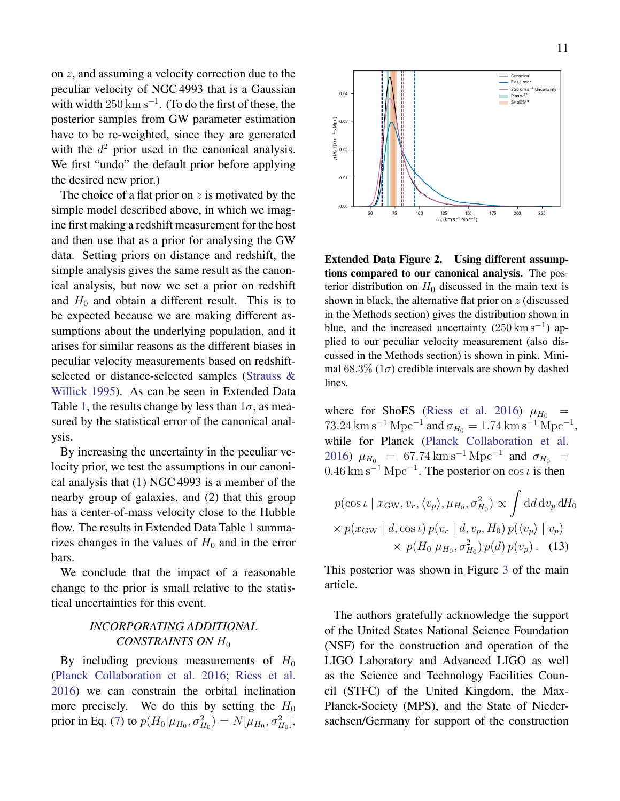on z, and assuming a velocity correction due to the peculiar velocity of NGC 4993 that is a Gaussian with width  $250 \text{ km s}^{-1}$ . (To do the first of these, the posterior samples from GW parameter estimation have to be re-weighted, since they are generated with the  $d^2$  prior used in the canonical analysis. We first "undo" the default prior before applying the desired new prior.)

The choice of a flat prior on  $z$  is motivated by the simple model described above, in which we imagine first making a redshift measurement for the host and then use that as a prior for analysing the GW data. Setting priors on distance and redshift, the simple analysis gives the same result as the canonical analysis, but now we set a prior on redshift and  $H_0$  and obtain a different result. This is to be expected because we are making different assumptions about the underlying population, and it arises for similar reasons as the different biases in peculiar velocity measurements based on redshiftselected or distance-selected samples [\(Strauss &](#page-15-26) [Willick](#page-15-26) [1995\)](#page-15-26). As can be seen in Extended Data Table [1,](#page-12-0) the results change by less than  $1\sigma$ , as measured by the statistical error of the canonical analysis.

By increasing the uncertainty in the peculiar velocity prior, we test the assumptions in our canonical analysis that (1) NGC 4993 is a member of the nearby group of galaxies, and (2) that this group has a center-of-mass velocity close to the Hubble flow. The results in Extended Data Table [1](#page-12-0) summarizes changes in the values of  $H_0$  and in the error bars.

We conclude that the impact of a reasonable change to the prior is small relative to the statistical uncertainties for this event.

## *INCORPORATING ADDITIONAL CONSTRAINTS ON H*<sub>0</sub>

By including previous measurements of  $H_0$ [\(Planck Collaboration et al.](#page-15-10) [2016;](#page-15-10) [Riess et al.](#page-15-11) [2016\)](#page-15-11) we can constrain the orbital inclination more precisely. We do this by setting the  $H_0$ prior in Eq. [\(7\)](#page-8-1) to  $p(H_0|\mu_{H_0}, \sigma_{H_0}^2) = N[\mu_{H_0}, \sigma_{H_0}^2]$ ,



Extended Data Figure 2. Using different assumptions compared to our canonical analysis. The posterior distribution on  $H_0$  discussed in the main text is shown in black, the alternative flat prior on  $z$  (discussed in the Methods section) gives the distribution shown in blue, and the increased uncertainty  $(250 \text{ km s}^{-1})$  applied to our peculiar velocity measurement (also discussed in the Methods section) is shown in pink. Minimal 68.3% ( $1\sigma$ ) credible intervals are shown by dashed lines.

where for ShoES [\(Riess et al.](#page-15-11) [2016\)](#page-15-11)  $\mu_{H_0}$  =  $73.24 \,\mathrm{km} \,\mathrm{s}^{-1} \,\mathrm{Mpc}^{-1}$  and  $\sigma_{H_0} = 1.74 \,\mathrm{km} \,\mathrm{s}^{-1} \,\mathrm{Mpc}^{-1}$ , while for Planck [\(Planck Collaboration et al.](#page-15-10) [2016\)](#page-15-10)  $\mu_{H_0}$  = 67.74 km s<sup>-1</sup> Mpc<sup>-1</sup> and  $\sigma_{H_0}$  =  $0.46 \text{ km s}^{-1} \text{ Mpc}^{-1}$ . The posterior on cos  $\iota$  is then

$$
p(\cos \iota \mid x_{\text{GW}}, v_r, \langle v_p \rangle, \mu_{H_0}, \sigma_{H_0}^2) \propto \int \mathrm{d}d \,\mathrm{d}v_p \,\mathrm{d}H_0
$$

$$
\times p(x_{\text{GW}} \mid d, \cos \iota) p(v_r \mid d, v_p, H_0) p(\langle v_p \rangle \mid v_p)
$$

$$
\times p(H_0 | \mu_{H_0}, \sigma_{H_0}^2) p(d) p(v_p). \quad (13)
$$

This posterior was shown in Figure [3](#page-5-0) of the main article.

The authors gratefully acknowledge the support of the United States National Science Foundation (NSF) for the construction and operation of the LIGO Laboratory and Advanced LIGO as well as the Science and Technology Facilities Council (STFC) of the United Kingdom, the Max-Planck-Society (MPS), and the State of Niedersachsen/Germany for support of the construction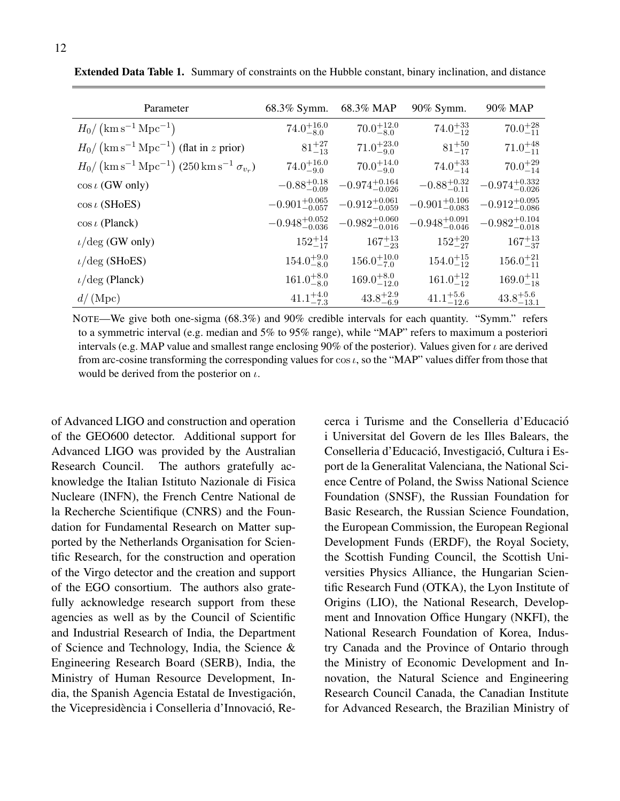| Parameter                                                                               | 68.3% Symm.                | 68.3% MAP                  | 90% Symm.                  | 90% MAP                    |
|-----------------------------------------------------------------------------------------|----------------------------|----------------------------|----------------------------|----------------------------|
| $H_0 / (\text{km s}^{-1} \text{ Mpc}^{-1})$                                             | $74.0^{+16.0}_{-8.0}$      | $70.0^{+12.0}_{-8.0}$      | $74.0_{-12}^{+33}$         | $70.0^{+28}_{-11}$         |
| $H_0 / (\mathrm{km s^{-1} \, Mpc^{-1}})$ (flat in z prior)                              | $81^{+27}_{-13}$           | $71.0^{+23.0}_{-9.0}$      | $81^{+50}_{-17}$           | $71.0^{+48}_{-11}$         |
| $H_0 / (\mathrm{km s^{-1} \, Mpc^{-1}}) (250 \, \mathrm{km \, s^{-1} \, \sigma_{v_r}})$ | $74.0^{+16.0}_{-9.0}$      | $70.0^{+14.0}_{-9.0}$      | $74.0^{+33}_{-14}$         | $70.0^{+29}_{-14}$         |
| $\cos \iota$ (GW only)                                                                  | $-0.88^{+0.18}_{-0.09}$    | $-0.974_{-0.026}^{+0.164}$ | $-0.88^{+0.32}_{-0.11}$    | $-0.974_{-0.026}^{+0.332}$ |
| $\cos\iota$ (SHoES)                                                                     | $-0.901_{-0.057}^{+0.065}$ | $-0.912_{-0.059}^{+0.061}$ | $-0.901^{+0.106}_{-0.083}$ | $-0.912_{-0.086}^{+0.095}$ |
| $\cos \iota$ (Planck)                                                                   | $-0.948^{+0.052}_{-0.036}$ | $-0.982^{+0.060}_{-0.016}$ | $-0.948^{+0.091}_{-0.046}$ | $-0.982^{+0.104}_{-0.018}$ |
| $\iota$ /deg (GW only)                                                                  | $152^{+14}_{-17}$          | $167^{+13}_{-23}$          | $152^{+20}_{-27}$          | $167^{+13}_{-37}$          |
| $\iota/\text{deg}$ (SHoES)                                                              | $154.0^{+9.0}_{-8.0}$      | $156.0^{+10.0}_{-7.0}$     | $154.0^{+15}_{-12}$        | $156.0^{+21}_{-11}$        |
| $\iota$ /deg (Planck)                                                                   | $161.0^{+8.0}_{-8.0}$      | $169.0^{+8.0}_{-12.0}$     | $161.0^{+12}_{-12}$        | $169.0^{+11}_{-18}$        |
| $d/(\text{Mpc})$                                                                        | $41.1^{+4.0}_{-7.3}$       | $43.8^{+2.9}_{-6.9}$       | $41.1^{+5.6}_{-12.6}$      | $43.8^{+5.6}_{-13.1}$      |

<span id="page-12-0"></span>Extended Data Table 1. Summary of constraints on the Hubble constant, binary inclination, and distance

NOTE—We give both one-sigma (68.3%) and 90% credible intervals for each quantity. "Symm." refers to a symmetric interval (e.g. median and 5% to 95% range), while "MAP" refers to maximum a posteriori intervals (e.g. MAP value and smallest range enclosing 90% of the posterior). Values given for  $\iota$  are derived from arc-cosine transforming the corresponding values for  $\cos t$ , so the "MAP" values differ from those that would be derived from the posterior on  $\iota$ .

of Advanced LIGO and construction and operation of the GEO600 detector. Additional support for Advanced LIGO was provided by the Australian Research Council. The authors gratefully acknowledge the Italian Istituto Nazionale di Fisica Nucleare (INFN), the French Centre National de la Recherche Scientifique (CNRS) and the Foundation for Fundamental Research on Matter supported by the Netherlands Organisation for Scientific Research, for the construction and operation of the Virgo detector and the creation and support of the EGO consortium. The authors also gratefully acknowledge research support from these agencies as well as by the Council of Scientific and Industrial Research of India, the Department of Science and Technology, India, the Science & Engineering Research Board (SERB), India, the Ministry of Human Resource Development, India, the Spanish Agencia Estatal de Investigación, the Vicepresidència i Conselleria d'Innovació, Recerca i Turisme and the Conselleria d'Educacio´ i Universitat del Govern de les Illes Balears, the Conselleria d'Educació, Investigació, Cultura i Esport de la Generalitat Valenciana, the National Science Centre of Poland, the Swiss National Science Foundation (SNSF), the Russian Foundation for Basic Research, the Russian Science Foundation, the European Commission, the European Regional Development Funds (ERDF), the Royal Society, the Scottish Funding Council, the Scottish Universities Physics Alliance, the Hungarian Scientific Research Fund (OTKA), the Lyon Institute of Origins (LIO), the National Research, Development and Innovation Office Hungary (NKFI), the National Research Foundation of Korea, Industry Canada and the Province of Ontario through the Ministry of Economic Development and Innovation, the Natural Science and Engineering Research Council Canada, the Canadian Institute for Advanced Research, the Brazilian Ministry of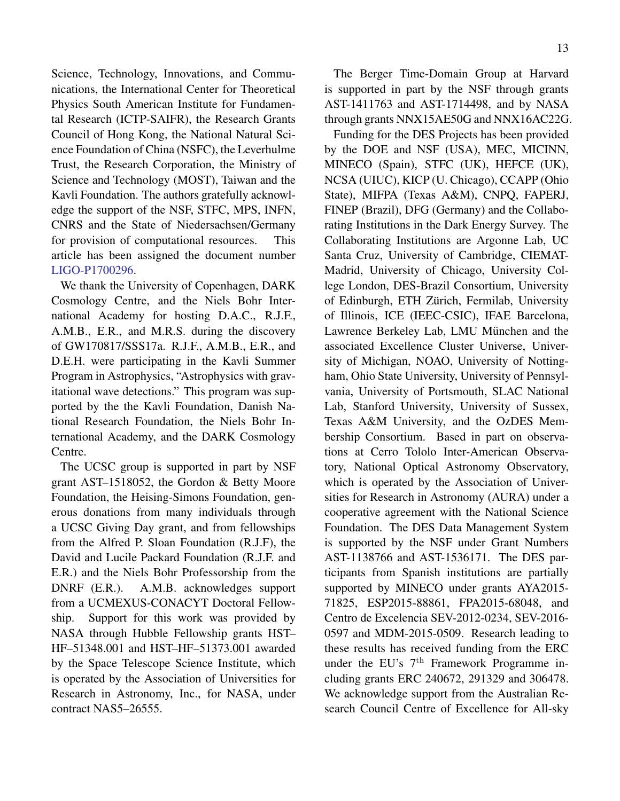Science, Technology, Innovations, and Communications, the International Center for Theoretical Physics South American Institute for Fundamental Research (ICTP-SAIFR), the Research Grants Council of Hong Kong, the National Natural Science Foundation of China (NSFC), the Leverhulme Trust, the Research Corporation, the Ministry of Science and Technology (MOST), Taiwan and the Kavli Foundation. The authors gratefully acknowledge the support of the NSF, STFC, MPS, INFN, CNRS and the State of Niedersachsen/Germany for provision of computational resources. This article has been assigned the document number [LIGO-P1700296.](http://dcc.ligo.org/P1700296/public)

We thank the University of Copenhagen, DARK Cosmology Centre, and the Niels Bohr International Academy for hosting D.A.C., R.J.F., A.M.B., E.R., and M.R.S. during the discovery of GW170817/SSS17a. R.J.F., A.M.B., E.R., and D.E.H. were participating in the Kavli Summer Program in Astrophysics, "Astrophysics with gravitational wave detections." This program was supported by the the Kavli Foundation, Danish National Research Foundation, the Niels Bohr International Academy, and the DARK Cosmology Centre.

The UCSC group is supported in part by NSF grant AST–1518052, the Gordon & Betty Moore Foundation, the Heising-Simons Foundation, generous donations from many individuals through a UCSC Giving Day grant, and from fellowships from the Alfred P. Sloan Foundation (R.J.F), the David and Lucile Packard Foundation (R.J.F. and E.R.) and the Niels Bohr Professorship from the DNRF (E.R.). A.M.B. acknowledges support from a UCMEXUS-CONACYT Doctoral Fellowship. Support for this work was provided by NASA through Hubble Fellowship grants HST– HF–51348.001 and HST–HF–51373.001 awarded by the Space Telescope Science Institute, which is operated by the Association of Universities for Research in Astronomy, Inc., for NASA, under contract NAS5–26555.

The Berger Time-Domain Group at Harvard is supported in part by the NSF through grants AST-1411763 and AST-1714498, and by NASA through grants NNX15AE50G and NNX16AC22G.

Funding for the DES Projects has been provided by the DOE and NSF (USA), MEC, MICINN, MINECO (Spain), STFC (UK), HEFCE (UK), NCSA (UIUC), KICP (U. Chicago), CCAPP (Ohio State), MIFPA (Texas A&M), CNPQ, FAPERJ, FINEP (Brazil), DFG (Germany) and the Collaborating Institutions in the Dark Energy Survey. The Collaborating Institutions are Argonne Lab, UC Santa Cruz, University of Cambridge, CIEMAT-Madrid, University of Chicago, University College London, DES-Brazil Consortium, University of Edinburgh, ETH Zürich, Fermilab, University of Illinois, ICE (IEEC-CSIC), IFAE Barcelona, Lawrence Berkeley Lab, LMU München and the associated Excellence Cluster Universe, University of Michigan, NOAO, University of Nottingham, Ohio State University, University of Pennsylvania, University of Portsmouth, SLAC National Lab, Stanford University, University of Sussex, Texas A&M University, and the OzDES Membership Consortium. Based in part on observations at Cerro Tololo Inter-American Observatory, National Optical Astronomy Observatory, which is operated by the Association of Universities for Research in Astronomy (AURA) under a cooperative agreement with the National Science Foundation. The DES Data Management System is supported by the NSF under Grant Numbers AST-1138766 and AST-1536171. The DES participants from Spanish institutions are partially supported by MINECO under grants AYA2015- 71825, ESP2015-88861, FPA2015-68048, and Centro de Excelencia SEV-2012-0234, SEV-2016- 0597 and MDM-2015-0509. Research leading to these results has received funding from the ERC under the EU's  $7<sup>th</sup>$  Framework Programme including grants ERC 240672, 291329 and 306478. We acknowledge support from the Australian Research Council Centre of Excellence for All-sky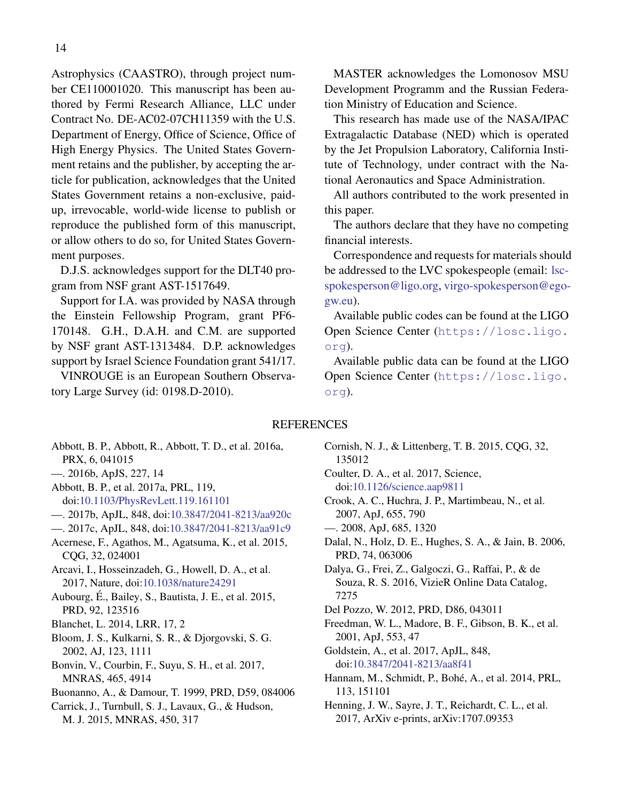Astrophysics (CAASTRO), through project number CE110001020. This manuscript has been authored by Fermi Research Alliance, LLC under Contract No. DE-AC02-07CH11359 with the U.S. Department of Energy, Office of Science, Office of High Energy Physics. The United States Government retains and the publisher, by accepting the article for publication, acknowledges that the United States Government retains a non-exclusive, paidup, irrevocable, world-wide license to publish or reproduce the published form of this manuscript, or allow others to do so, for United States Government purposes.

D.J.S. acknowledges support for the DLT40 program from NSF grant AST-1517649.

Support for I.A. was provided by NASA through the Einstein Fellowship Program, grant PF6- 170148. G.H., D.A.H. and C.M. are supported by NSF grant AST-1313484. D.P. acknowledges support by Israel Science Foundation grant 541/17.

VINROUGE is an European Southern Observatory Large Survey (id: 0198.D-2010).

MASTER acknowledges the Lomonosov MSU Development Programm and the Russian Federation Ministry of Education and Science.

This research has made use of the NASA/IPAC Extragalactic Database (NED) which is operated by the Jet Propulsion Laboratory, California Institute of Technology, under contract with the National Aeronautics and Space Administration.

All authors contributed to the work presented in this paper.

The authors declare that they have no competing financial interests.

Correspondence and requests for materials should be addressed to the LVC spokespeople (email: [lsc](mailto:lsc-spokesperson@ligo.org)[spokesperson@ligo.org,](mailto:lsc-spokesperson@ligo.org) [virgo-spokesperson@ego](mailto:virgo-spokesperson@ego-gw.eu)[gw.eu\)](mailto:virgo-spokesperson@ego-gw.eu).

Available public codes can be found at the LIGO Open Science Center ([https://losc.ligo.](https://losc.ligo.org) [org](https://losc.ligo.org)).

Available public data can be found at the LIGO Open Science Center ([https://losc.ligo.](https://losc.ligo.org) [org](https://losc.ligo.org)).

## **REFERENCES**

- <span id="page-14-10"></span>Abbott, B. P., Abbott, R., Abbott, T. D., et al. 2016a, PRX, 6, 041015
- <span id="page-14-22"></span>—. 2016b, ApJS, 227, 14
- <span id="page-14-0"></span>Abbott, B. P., et al. 2017a, PRL, 119, doi[:10.1103/PhysRevLett.119.161101](http://dx.doi.org/10.1103/PhysRevLett.119.161101)
- <span id="page-14-2"></span>—. 2017b, ApJL, 848, doi[:10.3847/2041-8213/aa920c](http://dx.doi.org/10.3847/2041-8213/aa920c)
- <span id="page-14-4"></span>—. 2017c, ApJL, 848, doi[:10.3847/2041-8213/aa91c9](http://dx.doi.org/10.3847/2041-8213/aa91c9)
- <span id="page-14-1"></span>Acernese, F., Agathos, M., Agatsuma, K., et al. 2015, CQG, 32, 024001

<span id="page-14-6"></span>Arcavi, I., Hosseinzadeh, G., Howell, D. A., et al. 2017, Nature, doi[:10.1038/nature24291](http://dx.doi.org/10.1038/nature24291)

- <span id="page-14-13"></span>Aubourg, E., Bailey, S., Bautista, J. E., et al. 2015, ´ PRD, 92, 123516
- <span id="page-14-21"></span>Blanchet, L. 2014, LRR, 17, 2
- <span id="page-14-16"></span>Bloom, J. S., Kulkarni, S. R., & Djorgovski, S. G. 2002, AJ, 123, 1111
- <span id="page-14-14"></span>Bonvin, V., Courbin, F., Suyu, S. H., et al. 2017, MNRAS, 465, 4914
- <span id="page-14-20"></span>Buonanno, A., & Damour, T. 1999, PRD, D59, 084006
- <span id="page-14-12"></span>Carrick, J., Turnbull, S. J., Lavaux, G., & Hudson, M. J. 2015, MNRAS, 450, 317
- <span id="page-14-19"></span>Cornish, N. J., & Littenberg, T. B. 2015, CQG, 32, 135012
- <span id="page-14-5"></span>Coulter, D. A., et al. 2017, Science, doi[:10.1126/science.aap9811](http://dx.doi.org/10.1126/science.aap9811)
- <span id="page-14-11"></span>Crook, A. C., Huchra, J. P., Martimbeau, N., et al. 2007, ApJ, 655, 790
- <span id="page-14-17"></span>—. 2008, ApJ, 685, 1320
- <span id="page-14-7"></span>Dalal, N., Holz, D. E., Hughes, S. A., & Jain, B. 2006, PRD, 74, 063006
- <span id="page-14-23"></span>Dalya, G., Frei, Z., Galgoczi, G., Raffai, P., & de Souza, R. S. 2016, VizieR Online Data Catalog, 7275
- <span id="page-14-9"></span>Del Pozzo, W. 2012, PRD, D86, 043011
- <span id="page-14-8"></span>Freedman, W. L., Madore, B. F., Gibson, B. K., et al. 2001, ApJ, 553, 47
- <span id="page-14-3"></span>Goldstein, A., et al. 2017, ApJL, 848, doi[:10.3847/2041-8213/aa8f41](http://dx.doi.org/10.3847/2041-8213/aa8f41)
- <span id="page-14-18"></span>Hannam, M., Schmidt, P., Bohé, A., et al. 2014, PRL, 113, 151101
- <span id="page-14-15"></span>Henning, J. W., Sayre, J. T., Reichardt, C. L., et al. 2017, ArXiv e-prints, arXiv:1707.09353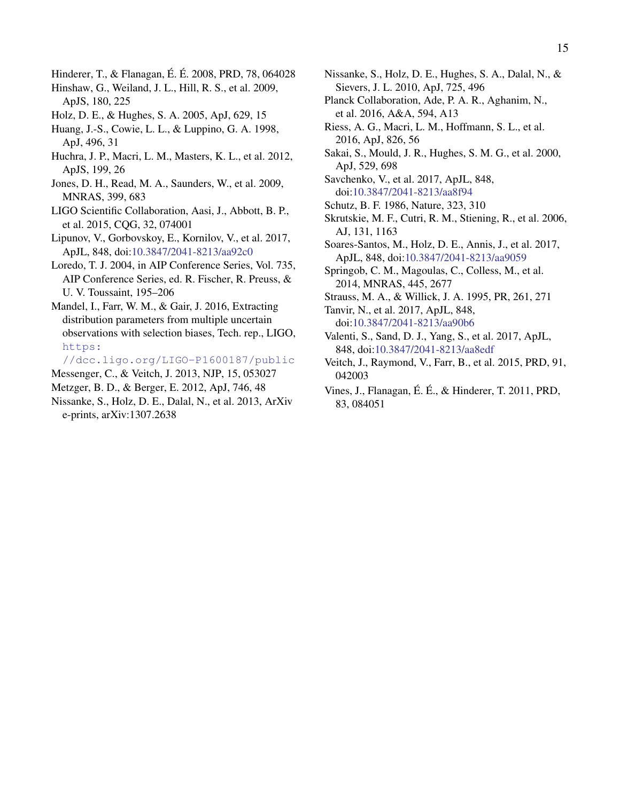- <span id="page-15-21"></span>Hinderer, T., & Flanagan, É. É. 2008, PRD, 78, 064028
- <span id="page-15-14"></span>Hinshaw, G., Weiland, J. L., Hill, R. S., et al. 2009, ApJS, 180, 225
- <span id="page-15-7"></span>Holz, D. E., & Hughes, S. A. 2005, ApJ, 629, 15
- <span id="page-15-16"></span>Huang, J.-S., Cowie, L. L., & Luppino, G. A. 1998, ApJ, 496, 31
- <span id="page-15-19"></span>Huchra, J. P., Macri, L. M., Masters, K. L., et al. 2012, ApJS, 199, 26
- <span id="page-15-18"></span>Jones, D. H., Read, M. A., Saunders, W., et al. 2009, MNRAS, 399, 683
- <span id="page-15-0"></span>LIGO Scientific Collaboration, Aasi, J., Abbott, B. P., et al. 2015, CQG, 32, 074001
- <span id="page-15-5"></span>Lipunov, V., Gorbovskoy, E., Kornilov, V., et al. 2017, ApJL, 848, doi[:10.3847/2041-8213/aa92c0](http://dx.doi.org/10.3847/2041-8213/aa92c0)
- <span id="page-15-23"></span>Loredo, T. J. 2004, in AIP Conference Series, Vol. 735, AIP Conference Series, ed. R. Fischer, R. Preuss, & U. V. Toussaint, 195–206
- <span id="page-15-24"></span>Mandel, I., Farr, W. M., & Gair, J. 2016, Extracting distribution parameters from multiple uncertain observations with selection biases, Tech. rep., LIGO, [https:](https://dcc.ligo.org/LIGO-P1600187/public)

[//dcc.ligo.org/LIGO-P1600187/public](https://dcc.ligo.org/LIGO-P1600187/public)

- <span id="page-15-12"></span>Messenger, C., & Veitch, J. 2013, NJP, 15, 053027
- <span id="page-15-25"></span>Metzger, B. D., & Berger, E. 2012, ApJ, 746, 48
- <span id="page-15-9"></span>Nissanke, S., Holz, D. E., Dalal, N., et al. 2013, ArXiv e-prints, arXiv:1307.2638
- <span id="page-15-8"></span>Nissanke, S., Holz, D. E., Hughes, S. A., Dalal, N., & Sievers, J. L. 2010, ApJ, 725, 496
- <span id="page-15-10"></span>Planck Collaboration, Ade, P. A. R., Aghanim, N., et al. 2016, A&A, 594, A13
- <span id="page-15-11"></span>Riess, A. G., Macri, L. M., Hoffmann, S. L., et al. 2016, ApJ, 826, 56
- <span id="page-15-13"></span>Sakai, S., Mould, J. R., Hughes, S. M. G., et al. 2000, ApJ, 529, 698
- <span id="page-15-1"></span>Savchenko, V., et al. 2017, ApJL, 848, doi[:10.3847/2041-8213/aa8f94](http://dx.doi.org/10.3847/2041-8213/aa8f94)
- <span id="page-15-6"></span>Schutz, B. F. 1986, Nature, 323, 310
- <span id="page-15-17"></span>Skrutskie, M. F., Cutri, R. M., Stiening, R., et al. 2006, AJ, 131, 1163
- <span id="page-15-2"></span>Soares-Santos, M., Holz, D. E., Annis, J., et al. 2017, ApJL, 848, doi[:10.3847/2041-8213/aa9059](http://dx.doi.org/10.3847/2041-8213/aa9059)
- <span id="page-15-15"></span>Springob, C. M., Magoulas, C., Colless, M., et al. 2014, MNRAS, 445, 2677
- <span id="page-15-26"></span>Strauss, M. A., & Willick, J. A. 1995, PR, 261, 271
- <span id="page-15-4"></span>Tanvir, N., et al. 2017, ApJL, 848, doi[:10.3847/2041-8213/aa90b6](http://dx.doi.org/10.3847/2041-8213/aa90b6)
- <span id="page-15-3"></span>Valenti, S., Sand, D. J., Yang, S., et al. 2017, ApJL, 848, doi[:10.3847/2041-8213/aa8edf](http://dx.doi.org/10.3847/2041-8213/aa8edf)
- <span id="page-15-20"></span>Veitch, J., Raymond, V., Farr, B., et al. 2015, PRD, 91, 042003
- <span id="page-15-22"></span>Vines, J., Flanagan, É. É., & Hinderer, T. 2011, PRD, 83, 084051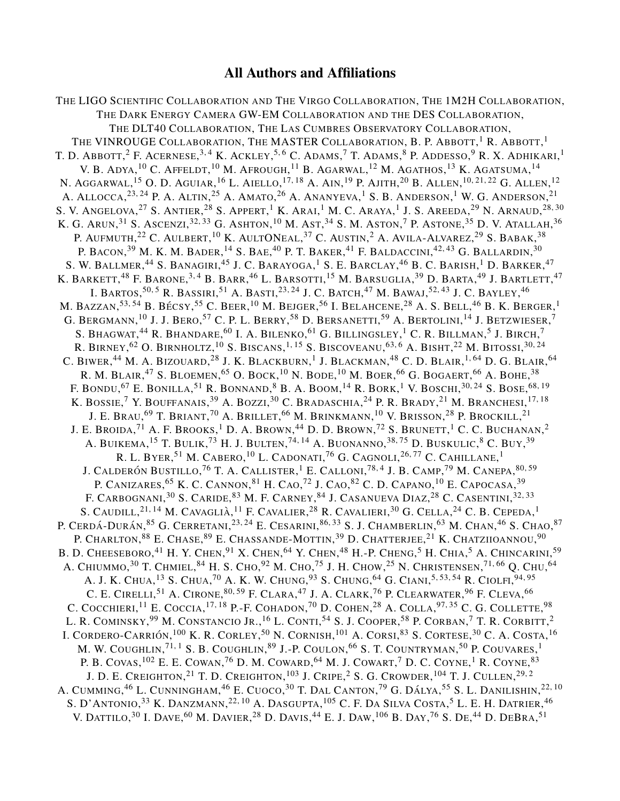# All Authors and Affiliations

THE LIGO SCIENTIFIC COLLABORATION AND THE VIRGO COLLABORATION, THE 1M2H COLLABORATION, THE DARK ENERGY CAMERA GW-EM COLLABORATION AND THE DES COLLABORATION, THE DLT40 COLLABORATION, THE LAS CUMBRES OBSERVATORY COLLABORATION, THE VINROUGE COLLABORATION, THE MASTER COLLABORATION, B. P. ABBOTT,  $^1$  R. Abbott,  $^1$ T. D. Abbott,<sup>2</sup> F. Acernese,<sup>3,4</sup> K. Ackley,<sup>5,6</sup> C. Adams,<sup>7</sup> T. Adams,<sup>8</sup> P. Addesso,<sup>9</sup> R. X. Adhikari,<sup>1</sup> V. B. Adya, $^{10}$  C. Affeldt, $^{10}$  M. Afrough, $^{11}$  B. Agarwal, $^{12}$  M. Agathos, $^{13}$  K. Agatsuma, $^{14}$ N. AGGARWAL,<sup>15</sup> O. D. AGUIAR,<sup>16</sup> L. AIELLO,<sup>17, 18</sup> A. AIN,<sup>19</sup> P. AJITH,<sup>20</sup> B. ALLEN,<sup>10, 21, 22</sup> G. ALLEN,<sup>12</sup> A. ALLOCCA,<sup>23,24</sup> P. A. Altin,<sup>25</sup> A. Amato,<sup>26</sup> A. Ananyeva,<sup>1</sup> S. B. Anderson,<sup>1</sup> W. G. Anderson,<sup>21</sup> S. V. ANGELOVA, $^{27}$  S. Antier, $^{28}$  S. Appert, $^{1}$  K. Arai, $^{1}$  M. C. Araya, $^{1}$  J. S. Areeda, $^{29}$  N. Arnaud, $^{28,\,30}$ K. G. Arun, $^{31}$  S. Ascenzi, $^{32,33}$  G. Ashton, $^{10}$  M. Ast, $^{34}$  S. M. Aston, $^7$  P. Astone, $^{35}$  D. V. Atallah, $^{36}$ P. AUFMUTH, $^{22}$  C. Aulbert,  $^{10}$  K. AultONeal,  $^{37}$  C. Austin,  $^2$  A. Avila-Alvarez,  $^{29}$  S. Babak,  $^{38}$ P. BACON,<sup>39</sup> M. K. M. BADER,<sup>14</sup> S. BAE,<sup>40</sup> P. T. BAKER,<sup>41</sup> F. BALDACCINI,<sup>42,43</sup> G. BALLARDIN,<sup>30</sup> S. W. Ballmer,<sup>44</sup> S. Banagiri,<sup>45</sup> J. C. Barayoga,<sup>1</sup> S. E. Barclay,<sup>46</sup> B. C. Barish,<sup>1</sup> D. Barker,<sup>47</sup> K. BARKETT,<sup>48</sup> F. BARONE,<sup>3,4</sup> B. BARR,<sup>46</sup> L. BARSOTTI,<sup>15</sup> M. BARSUGLIA,<sup>39</sup> D. BARTA,<sup>49</sup> J. BARTLETT,<sup>47</sup> I. BARTOS,<sup>50,5</sup> R. Bassiri,<sup>51</sup> A. Basti,<sup>23, 24</sup> J. C. Batch,<sup>47</sup> M. Bawaj,<sup>52, 43</sup> J. C. Bayley,<sup>46</sup> M. BAZZAN, $^{53,\,54}$  B. Bécsy, $^{55}$  C. Beer, $^{10}$  M. Bejger, $^{56}$  I. Belahcene, $^{28}$  A. S. Bell, $^{46}$  B. K. Berger, $^{1}$ G. Bergmann,  $^{10}$  J. J. Bero,  $^{57}$  C. P. L. Berry,  $^{58}$  D. Bersanetti,  $^{59}$  A. Bertolini,  $^{14}$  J. Betzwieser,  $^7$ S. BHAGWAT, $^{44}$  R. Bhandare, $^{60}$  I. A. Bilenko, $^{61}$  G. Billingsley, $^{1}$  C. R. Billman, $^{5}$  J. Birch, $^{7}$ R. Birney,  $^{62}$  O. Birnholtz,  $^{10}$  S. Biscans,  $^{1,\,15}$  S. Biscoveanu,  $^{63,\,6}$  A. Bisht,  $^{22}$  M. Bitossi,  $^{30,\,24}$ C. Biwer,<sup>44</sup> M. A. Bizouard,<sup>28</sup> J. K. Blackburn,<sup>1</sup> J. Blackman,<sup>48</sup> C. D. Blair,<sup>1,64</sup> D. G. Blair,<sup>64</sup> R. M. BLAIR,<sup>47</sup> S. Bloemen,<sup>65</sup> O. Bock,<sup>10</sup> N. Bode,<sup>10</sup> M. Boer,<sup>66</sup> G. Bogaert,<sup>66</sup> A. Bohe,<sup>38</sup> F. BONDU,<sup>67</sup> E. BONILLA,<sup>51</sup> R. BONNAND,<sup>8</sup> B. A. BOOM,<sup>14</sup> R. BORK,<sup>1</sup> V. BOSCHI,<sup>30,24</sup> S. BOSE,<sup>68,19</sup> K. BOSSIE, $^7$  Y. Bouffanais, $^{39}$  A. Bozzi, $^{30}$  C. Bradaschia, $^{24}$  P. R. Brady, $^{21}$  M. Branchesi, $^{17,\,18}$ J. E. Brau, $^{69}$  T. Briant, $^{70}$  A. Brillet, $^{66}$  M. Brinkmann, $^{10}$  V. Brisson, $^{28}$  P. Brockill, $^{21}$ J. E. Broida, $^{71}$  A. F. Brooks, $^{1}$  D. A. Brown, $^{44}$  D. D. Brown, $^{72}$  S. Brunett, $^{1}$  C. C. Buchanan, $^{2}$ A. BUIKEMA,<sup>15</sup> T. BULIK,<sup>73</sup> H. J. BULTEN,<sup>74,14</sup> A. BUONANNO,<sup>38,75</sup> D. BUSKULIC,<sup>8</sup> C. BUY,<sup>39</sup> R. L. Byer, $^{51}$  M. Cabero, $^{10}$  L. Cadonati, $^{76}$  G. Cagnoli, $^{26,77}$  C. Cahillane, $^{1}$ J. Calderón Bustillo,<sup>76</sup> T. A. Callister,<sup>1</sup> E. Calloni,<sup>78,4</sup> J. B. Camp,<sup>79</sup> M. Canepa,<sup>80,59</sup> P. CANIZARES, <sup>65</sup> K. C. CANNON, <sup>81</sup> H. Cao, <sup>72</sup> J. Cao, <sup>82</sup> C. D. Capano, <sup>10</sup> E. Capocasa, <sup>39</sup> F. CARBOGNANI, $^{30}$  S. Caride, $^{83}$  M. F. Carney, $^{84}$  J. Casanueva Diaz, $^{28}$  C. Casentini, $^{32,33}$ S. CAUDILL, $^{21,\,14}$  M. Cavaglià, $^{11}$  F. Cavalier, $^{28}$  R. Cavalieri, $^{30}$  G. Cella, $^{24}$  C. B. Cepeda, $^{1}$ P. Cerdá-Durán,<sup>85</sup> G. Cerretani,<sup>23, 24</sup> E. Cesarini,<sup>86, 33</sup> S. J. Chamberlin,<sup>63</sup> M. Chan,<sup>46</sup> S. Chao,<sup>87</sup> P. CHARLTON,<sup>88</sup> E. Chase,<sup>89</sup> E. Chassande-Mottin,<sup>39</sup> D. Chatterjee,<sup>21</sup> K. Chatziioannou,<sup>90</sup> B. D. Cheeseboro,<sup>41</sup> H. Y. Chen,<sup>91</sup> X. Chen,<sup>64</sup> Y. Chen,<sup>48</sup> H.-P. Cheng,<sup>5</sup> H. Chia,<sup>5</sup> A. Chincarini,<sup>59</sup> A. CHIUMMO,<sup>30</sup> T. CHMIEL,<sup>84</sup> H. S. CHO,<sup>92</sup> M. CHO,<sup>75</sup> J. H. CHOW,<sup>25</sup> N. CHRISTENSEN,<sup>71,66</sup> Q. CHU,<sup>64</sup> A. J. K. Chua, <sup>13</sup> S. Chua, <sup>70</sup> A. K. W. Chung, <sup>93</sup> S. Chung, <sup>64</sup> G. Ciani, <sup>5, 53, 54</sup> R. Ciolfi, <sup>94, 95</sup> C. E. CIRELLI,<sup>51</sup> A. CIRONE,<sup>80,59</sup> F. CLARA,<sup>47</sup> J. A. CLARK,<sup>76</sup> P. CLEARWATER,<sup>96</sup> F. CLEVA,<sup>66</sup> C. COCCHIERI, <sup>11</sup> E. COCCIA, <sup>17, 18</sup> P.-F. COHADON, <sup>70</sup> D. COHEN, <sup>28</sup> A. COLLA, <sup>97, 35</sup> C. G. COLLETTE, <sup>98</sup> L. R. COMINSKY, $^{99}$  M. Constancio Jr., $^{16}$  L. Conti, $^{54}$  S. J. Cooper, $^{58}$  P. Corban, $^7$  T. R. Corbitt, $^2$ I. CORDERO-CARRIÓN,  $^{100}$  K. R. Corley,  $^{50}$  N. Cornish,  $^{101}$  A. Corsi,  $^{83}$  S. Cortese,  $^{30}$  C. A. Costa,  $^{16}$ M. W. COUGHLIN,<sup>71,1</sup> S. B. COUGHLIN,<sup>89</sup> J.-P. COULON,<sup>66</sup> S. T. COUNTRYMAN,<sup>50</sup> P. COUVARES,<sup>1</sup> P. B. COVAS,  $^{102}$  E. E. COWAN,  $^{76}$  D. M. COWARD,  $^{64}$  M. J. COWART,  $^{7}$  D. C. COYNE,  $^{1}$  R. COYNE,  $^{83}$ J. D. E. Creighton, $^{21}$  T. D. Creighton, $^{103}$  J. Cripe, $^2$  S. G. Crowder,  $^{104}$  T. J. Cullen, $^{29,\,2}$ A. CUMMING,<sup>46</sup> L. CUNNINGHAM,<sup>46</sup> E. CUOCO,<sup>30</sup> T. DAL CANTON,<sup>79</sup> G. DÁLYA,<sup>55</sup> S. L. DANILISHIN,<sup>22, 10</sup> S. D'Antonio, $^{33}$  K. Danzmann, $^{22,\,10}$  A. Dasgupta, $^{105}$  C. F. Da Silva Costa, $^5$  L. E. H. Datrier, $^{46}$ V. DATTILO,  $^{30}$  I. Dave,  $^{60}$  M. Davier,  $^{28}$  D. Davis,  $^{44}$  E. J. Daw,  $^{106}$  B. Day,  $^{76}$  S. De,  $^{44}$  D. DeBra,  $^{51}$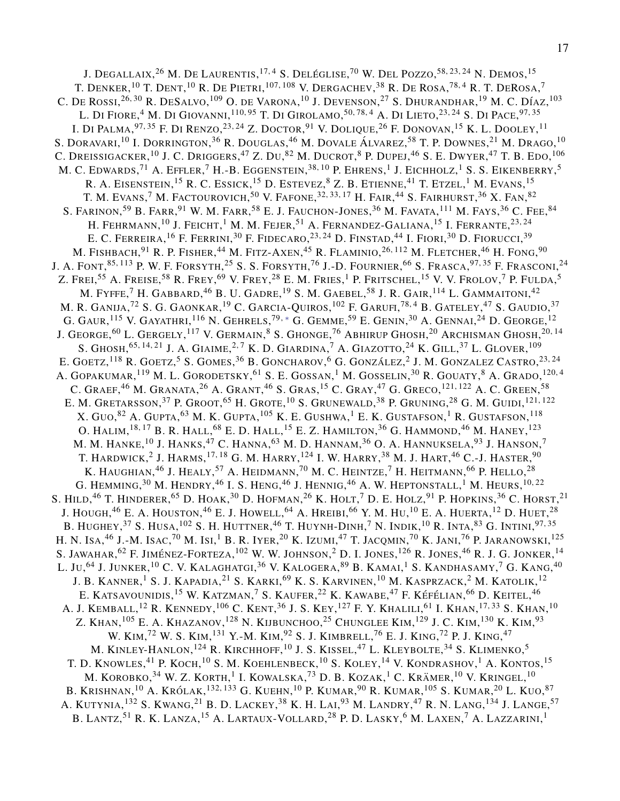J. Degallaix,<sup>26</sup> M. De Laurentis,<sup>17,4</sup> S. Deléglise,<sup>70</sup> W. Del Pozzo,<sup>58,23,24</sup> N. Demos,<sup>15</sup> T. DENKER,  $^{10}$  T. Dent,  $^{10}$  R. De Pietri,  $^{107,\,108}$  V. Dergachev,  $^{38}$  R. De Rosa,  $^{78,\,4}$  R. T. DeRosa,  $^7$ C. DE ROSSI, $^{26, 30}$  R. DeSalvo, $^{109}$  O. de Varona, $^{10}$  J. Devenson, $^{27}$  S. Dhurandhar, $^{19}$  M. C. Díaz, $^{103}$ L. Di Fiore, <sup>4</sup> M. Di Giovanni, <sup>110, 95</sup> T. Di Girolamo, <sup>50, 78, 4</sup> A. Di Lieto, <sup>23, 24</sup> S. Di Pace, <sup>97, 35</sup> I. Di Palma, $^{97,\,35}$  F. Di Renzo, $^{23,\,24}$  Z. Doctor, $^{91}$  V. Dolique, $^{26}$  F. Donovan, $^{15}$  K. L. Dooley, $^{11}$ S. DORAVARI, <sup>10</sup> I. DORRINGTON, <sup>36</sup> R. DOUGLAS, <sup>46</sup> M. DOVALE ÁLVAREZ, <sup>58</sup> T. P. DOWNES, <sup>21</sup> M. DRAGO, <sup>10</sup> C. Dreissigacker,  $^{10}$  J. C. Driggers,  $^{47}$  Z. Du,  $^{82}$  M. Ducrot,  $^{8}$  P. Dupej,  $^{46}$  S. E. Dwyer,  $^{47}$  T. B. Edo,  $^{106}$ M. C. Edwards, $^{71}$  A. Effler, $^{7}$  H.-B. Eggenstein, $^{38,\,10}$  P. Ehrens, $^{1}$  J. Eichholz, $^{1}$  S. S. Eikenberry, $^{5}$ R. A. EISENSTEIN,<sup>15</sup> R. C. Essick,<sup>15</sup> D. Estevez,<sup>8</sup> Z. B. Etienne,<sup>41</sup> T. Etzel,<sup>1</sup> M. Evans,<sup>15</sup> T. M. Evans,  $^7$  M. Factourovich,  $^{50}$  V. Fafone,  $^{32,33,\,17}$  H. Fair,  $^{44}$  S. Fairhurst,  $^{36}$  X. Fan,  $^{82}$ S. FARINON, $^{59}$  B. Farr, $^{91}$  W. M. Farr, $^{58}$  E. J. Fauchon-Jones, $^{36}$  M. Favata, $^{111}$  M. Fays, $^{36}$  C. Fee, $^{84}$ H. FEHRMANN,  $^{10}$  J. Feicht,  $^{1}$  M. M. Fejer,  $^{51}$  A. Fernandez-Galiana,  $^{15}$  I. Ferrante,  $^{23,\,24}$ E. C. Ferreira, <sup>16</sup> F. Ferrini, <sup>30</sup> F. Fidecaro, <sup>23, 24</sup> D. Finstad, <sup>44</sup> I. Fiori, <sup>30</sup> D. Fiorucci, <sup>39</sup> M. Fishbach, $^{91}$  R. P. Fisher, $^{44}$  M. Fitz-Axen, $^{45}$  R. Flaminio, $^{26,\,112}$  M. Fletcher, $^{46}$  H. Fong, $^{90}$ J. A. Font,<sup>85, 113</sup> p. W. F. Forsyth,<sup>25</sup> S. S. Forsyth,<sup>76</sup> J.-D. Fournier,<sup>66</sup> S. Frasca,<sup>97,35</sup> F. Frasconi,<sup>24</sup> Z. Frei, $^{55}$  A. Freise, $^{58}$  R. Frey, $^{69}$  V. Frey, $^{28}$  E. M. Fries, $^1$  P. Fritschel, $^{15}$  V. V. Frolov, $^7$  P. Fulda, $^5$ M. FYFFE,  $^7$  H. Gabbard,  $^{46}$  B. U. Gadre,  $^{19}$  S. M. Gaebel,  $^{58}$  J. R. Gair,  $^{114}$  L. Gammaitoni,  $^{42}$ M. R. GANIJA, $^{72}$  S. G. GAONKAR, $^{19}$  C. Garcia-Quiros, $^{102}$  F. Garufi, $^{78,4}$  B. Gateley, $^{47}$  S. Gaudio, $^{37}$ G. GAUR,  $^{115}$  V. Gayathri,  $^{116}$  N. Gehrels,  $^{79,*}$  G. Gemme,  $^{59}$  E. Genin,  $^{30}$  A. Gennai,  $^{24}$  D. George,  $^{12}$ J. George,  $^{60}$  L. Gergely,  $^{117}$  V. Germain,  $^8$  S. Ghonge,  $^{76}$  Abhirup Ghosh,  $^{20}$  Archisman Ghosh,  $^{20,\,14}$ S. GHOSH,<sup>65,14,21</sup> J. A. GIAIME,<sup>2,7</sup> K. D. GIARDINA,<sup>7</sup> A. GIAZOTTO,<sup>24</sup> K. GILL,<sup>37</sup> L. GLOVER,<sup>109</sup> E. GOETZ,<sup>118</sup> R. GOETZ,<sup>5</sup> S. GOMES,<sup>36</sup> B. GONCHAROV,<sup>6</sup> G. GONZÁLEZ,<sup>2</sup> J. M. GONZALEZ CASTRO,<sup>23,24</sup> A. GOPAKUMAR, $^{119}$  M. L. GORODETSKY, $^{61}$  S. E. GOSSAN, $^{1}$  M. GOSSELIN, $^{30}$  R. GOUATY, $^{8}$  A. Grado, $^{120,4}$ C. GRAEF, <sup>46</sup> M. GRANATA, <sup>26</sup> A. GRANT, <sup>46</sup> S. GRAS, <sup>15</sup> C. GRAY, <sup>47</sup> G. GRECO, <sup>121, 122</sup> A. C. GREEN, <sup>58</sup> E. M. GRETARSSON,<sup>37</sup> P. GROOT,<sup>65</sup> H. GROTE,<sup>10</sup> S. GRUNEWALD,<sup>38</sup> P. GRUNING,<sup>28</sup> G. M. GUIDI,<sup>121,122</sup> X. Guo, $^{82}$  A. Gupta, $^{63}$  M. K. Gupta, $^{105}$  K. E. Gushwa, $^1$  E. K. Gustafson, $^1$  R. Gustafson, $^{118}$ O. HALIM, $^{18,\,17}$  B. R. Hall, $^{68}$  E. D. Hall, $^{15}$  E. Z. Hamilton, $^{36}$  G. Hammond, $^{46}$  M. Haney, $^{123}$ M. M. HANKE, $^{10}$  J. Hanks, $^{47}$  C. Hanna, $^{63}$  M. D. Hannam, $^{36}$  O. A. Hannuksela, $^{93}$  J. Hanson, $^7$ T. HARDWICK,<sup>2</sup> J. HARMS,<sup>17, 18</sup> G. M. HARRY,<sup>124</sup> I. W. HARRY,<sup>38</sup> M. J. HART,<sup>46</sup> C.-J. HASTER,<sup>90</sup> K. HAUGHIAN, $^{46}$  J. Healy, $^{57}$  A. Heidmann, $^{70}$  M. C. Heintze, $^7$  H. Heitmann, $^{66}$  P. Hello, $^{28}$ G. HEMMING, $^{30}$  M. Hendry, $^{46}$  I. S. Heng, $^{46}$  J. Hennig, $^{46}$  A. W. Heptonstall, $^{1}$  M. Heurs, $^{10,22}$ S. HILD, $^{46}$  T. Hinderer, $^{65}$  D. Hoak, $^{30}$  D. Hofman, $^{26}$  K. Holt, $^7$  D. E. Holz, $^{91}$  P. Hopkins, $^{36}$  C. Horst, $^{21}$ J. HOUGH, $^{46}$  E. A. HOUSTON, $^{46}$  E. J. HOWELL, $^{64}$  A. Hreibi, $^{66}$  Y. M. Hu, $^{10}$  E. A. Huerta, $^{12}$  D. Huet, $^{28}$ B. HUGHEY, $^{37}$  S. Husa, $^{102}$  S. H. Huttner, $^{46}$  T. Huynh-Dinh, $^7$  N. Indik, $^{10}$  R. Inta, $^{83}$  G. Intini, $^{97,\,35}$ H. N. Isa,<sup>46</sup> J.-M. Isac,<sup>70</sup> m. Isi,<sup>1</sup> B. R. Iyer,<sup>20</sup> K. Izumi,<sup>47</sup> T. Jacqmin,<sup>70</sup> K. Jani,<sup>76</sup> P. Jaranowski,<sup>125</sup> S. JAWAHAR, $^{62}$  F. Jiménez-Forteza,  $^{102}$  W. W. Johnson,  $^2$  D. I. Jones,  $^{126}$  R. Jones,  $^{46}$  R. J. G. Jonker,  $^{14}$ L. Ju,<sup>64</sup> J. Junker, <sup>10</sup> C. V. Kalaghatgi, <sup>36</sup> V. Kalogera, <sup>89</sup> B. Kamai, <sup>1</sup> S. Kandhasamy, <sup>7</sup> G. Kang, <sup>40</sup> J. B. KANNER,<sup>1</sup> S. J. KAPADIA,<sup>21</sup> S. KARKI,<sup>69</sup> K. S. KARVINEN,<sup>10</sup> M. KASPRZACK,<sup>2</sup> M. KATOLIK,<sup>12</sup> E. KATSAVOUNIDIS,<sup>15</sup> W. KATZMAN,<sup>7</sup> S. KAUFER,<sup>22</sup> K. KAWABE,<sup>47</sup> F. KÉFÉLIAN,<sup>66</sup> D. KEITEL,<sup>46</sup> A. J. KEMBALL,<sup>12</sup> R. KENNEDY,<sup>106</sup> C. KENT,<sup>36</sup> J. S. KEY,<sup>127</sup> F. Y. KHALILI,<sup>61</sup> I. KHAN,<sup>17,33</sup> S. KHAN,<sup>10</sup> Z. KHAN, $^{105}$  E. A. KHAZANOV, $^{128}$  N. KIJBUNCHOO, $^{25}$  Chunglee Kim, $^{129}$  J. C. Kim, $^{130}$  K. Kim, $^{93}$ W. Kim,<sup>72</sup> W. S. Kim,<sup>131</sup> Y.-M. Kim,<sup>92</sup> S. J. Kimbrell,<sup>76</sup> E. J. King,<sup>72</sup> P. J. King,<sup>47</sup> M. KINLEY-HANLON,<sup>124</sup> R. Kirchhoff,<sup>10</sup> J. S. Kissel,<sup>47</sup> L. Kleybolte,<sup>34</sup> S. Klimenko,<sup>5</sup> T. D. KNOWLES,<sup>41</sup> P. KOCH,<sup>10</sup> S. M. KOEHLENBECK,<sup>10</sup> S. KOLEY,<sup>14</sup> V. KONDRASHOV,<sup>1</sup> A. KONTOS,<sup>15</sup> M. KOROBKO, $^{34}$  W. Z. KORTH, $^1$  I. KOWALSKA, $^{73}$  D. B. KOZAK, $^1$  C. Krämer, $^{10}$  V. Kringel, $^{10}$ B. Krishnan, $^{10}$  A. Królak, $^{132,\,133}$  G. Kuehn, $^{10}$  P. Kumar, $^{90}$  R. Kumar, $^{105}$  S. Kumar, $^{20}$  L. Kuo, $^{87}$ A. KUTYNIA,<sup>132</sup> S. KWANG,<sup>21</sup> B. D. LACKEY,<sup>38</sup> K. H. LAI,<sup>93</sup> M. LANDRY,<sup>47</sup> R. N. LANG,<sup>134</sup> J. LANGE,<sup>57</sup> B. LANTZ,<sup>51</sup> R. K. Lanza,<sup>15</sup> A. Lartaux-Vollard,<sup>28</sup> P. D. Lasky,<sup>6</sup> M. Laxen,<sup>7</sup> A. Lazzarini,<sup>1</sup>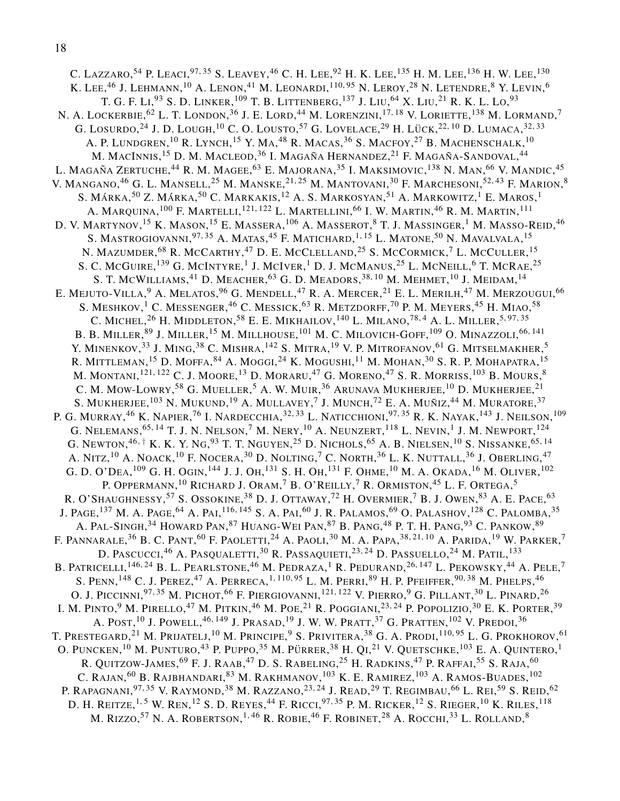C. LAZZARO,<sup>54</sup> P. LEACI,<sup>97,35</sup> S. LEAVEY,<sup>46</sup> C. H. LEE,<sup>92</sup> H. K. LEE,<sup>135</sup> H. M. LEE,<sup>136</sup> H. W. LEE,<sup>130</sup> K. LEE, $^{46}$  J. Lehmann,  $^{10}$  A. Lenon,  $^{41}$  M. Leonardi,  $^{110,95}$  N. Leroy,  $^{28}$  N. Letendre,  $^8$  Y. Levin,  $^6$ T. G. F. Li,<sup>93</sup> S. D. Linker,<sup>109</sup> T. B. Littenberg,<sup>137</sup> J. Liu,<sup>64</sup> X. Liu,<sup>21</sup> R. K. L. Lo,<sup>93</sup> N. A. LOCKERBIE, $^{62}$  L. T. LONDON, $^{36}$  J. E. LORD, $^{44}$  M. LORENZINI, $^{17,\,18}$  V. LORIETTE, $^{138}$  M. LORMAND, $^7$ G. LOSURDO, $^{24}$  J. D. LOUGH, $^{10}$  C. O. LOUSTO, $^{57}$  G. LOVELACE, $^{29}$  H. LÜCK, $^{22,\,10}$  D. LUMACA, $^{32,\,33}$ A. P. LUNDGREN,  $^{10}$  R. Lynch,  $^{15}$  Y. Ma,  $^{48}$  R. Macas,  $^{36}$  S. Macfoy,  $^{27}$  B. Machenschalk,  $^{10}$ M. MACINNIS, <sup>15</sup> D. M. MACLEOD, <sup>36</sup> I. MAGAÑA HERNANDEZ, <sup>21</sup> F. MAGAÑA-SANDOVAL, <sup>44</sup> L. MAGAÑA ZERTUCHE,<sup>44</sup> R. M. MAGEE,<sup>63</sup> E. MAJORANA,<sup>35</sup> I. MAKSIMOVIC,<sup>138</sup> N. MAN,<sup>66</sup> V. MANDIC,<sup>45</sup> V. MANGANO,<sup>46</sup> G. L. MANSELL,<sup>25</sup> M. MANSKE,<sup>21,25</sup> M. MANTOVANI,<sup>30</sup> F. MARCHESONI,<sup>52,43</sup> F. MARION,<sup>8</sup> S. MÁRKA,<sup>50</sup> Z. MÁRKA,<sup>50</sup> C. MARKAKIS,<sup>12</sup> A. S. MARKOSYAN,<sup>51</sup> A. MARKOWITZ,<sup>1</sup> E. MAROS,<sup>1</sup> A. MARQUINA, $^{100}$  F. Martelli, $^{121,\,122}$  L. Martellini, $^{66}$  I. W. Martin, $^{46}$  R. M. Martin, $^{111}$ D. V. Martynov, <sup>15</sup> K. Mason, <sup>15</sup> E. Massera, <sup>106</sup> A. Masserot, <sup>8</sup> T. J. Massinger, <sup>1</sup> M. Masso-Reid, <sup>46</sup> S. MASTROGIOVANNI,<sup>97, 35</sup> A. Matas,<sup>45</sup> F. Matichard,<sup>1, 15</sup> L. Matone,<sup>50</sup> N. Mavalvala,<sup>15</sup> N. MAZUMDER,<sup>68</sup> R. McCarthy,<sup>47</sup> D. E. McClelland,<sup>25</sup> S. McCormick,<sup>7</sup> L. McCuller,<sup>15</sup> S. C. McGuire, <sup>139</sup> G. McIntyre, <sup>1</sup> J. McIver, <sup>1</sup> D. J. McManus, <sup>25</sup> L. McNeill, <sup>6</sup> T. McRae, <sup>25</sup> S. T. MCWILLIAMS, $^{41}$  D. Meacher, $^{63}$  G. D. Meadors, $^{38,\,10}$  M. Mehmet, $^{10}$  J. Meidam, $^{14}$ E. MEJUTO-VILLA,  $^9$  A. Melatos,  $^{96}$  G. Mendell,  $^{47}$  R. A. Mercer,  $^{21}$  E. L. Merilh,  $^{47}$  M. Merzougui,  $^{66}$ S. MESHKOV,<sup>1</sup> C. MESSENGER,<sup>46</sup> C. MESSICK,<sup>63</sup> R. METZDORFF,<sup>70</sup> P. M. MEYERS,<sup>45</sup> H. MIAO,<sup>58</sup> C. MICHEL,  $^{26}$  H. Middleton,  $^{58}$  E. E. Mikhailov,  $^{140}$  L. Milano,  $^{78,4}$  A. L. Miller,  $^{5,97,35}$ B. B. MILLER,  $^{89}$  J. Miller,  $^{15}$  M. Millhouse,  $^{101}$  M. C. Milovich-Goff,  $^{109}$  O. Minazzoli,  $^{66,\,141}$ Y. MINENKOV,<sup>33</sup> J. MING,<sup>38</sup> C. MISHRA,<sup>142</sup> S. MITRA,<sup>19</sup> V. P. MITROFANOV,<sup>61</sup> G. MITSELMAKHER,<sup>5</sup> R. MITTLEMAN,<sup>15</sup> D. MOFFA,<sup>84</sup> A. MOGGI,<sup>24</sup> K. MOGUSHI,<sup>11</sup> M. MOHAN,<sup>30</sup> S. R. P. MOHAPATRA,<sup>15</sup> M. MONTANI,<sup>121,122</sup> C. J. MOORE,<sup>13</sup> D. MORARU,<sup>47</sup> G. MORENO,<sup>47</sup> S. R. MORRISS,<sup>103</sup> B. MOURS,<sup>8</sup> C. M. MOW-LOWRY,  $^{58}$  G. MUELLER,  $^5$  A. W. MUIR,  $^{36}$  Arunava Mukherjee,  $^{10}$  D. Mukherjee,  $^{21}$ S. MUKHERJEE,  $^{103}$  N. MUKUND,  $^{19}$  A. MULLAVEY,  $^7$  J. MUNCH,  $^{72}$  E. A. MUÑIZ,  $^{44}$  M. MURATORE,  $^{37}$ P. G. MURRAY,<sup>46</sup> K. Napier,<sup>76</sup> I. Nardecchia,<sup>32, 33</sup> L. Naticchioni,<sup>97, 35</sup> R. K. Nayak,<sup>143</sup> J. Neilson,<sup>109</sup> G. NELEMANS, $^{65,\,14}$  T. J. N. Nelson, $^7$  M. Nery, $^{10}$  A. Neunzert, $^{118}$  L. Nevin, $^1$  J. M. Newport, $^{124}$ G. Newton, $^{46,\, \dagger}$  K. K. Y. Ng, $^{93}$  T. T. Nguyen, $^{25}$  D. Nichols, $^{65}$  A. B. Nielsen, $^{10}$  S. Nissanke, $^{65,\, 14}$ A. Nitz,  $^{10}$  A. Noack,  $^{10}$  F. Nocera,  $^{30}$  D. Nolting,  $^7$  C. North,  $^{36}$  L. K. Nuttall,  $^{36}$  J. Oberling,  $^{47}$ G. D. O'DEA,  $^{109}$  G. H. Ogin,  $^{144}$  J. J. Oh,  $^{131}$  S. H. Oh,  $^{131}$  F. Ohme,  $^{10}$  M. A. Okada,  $^{16}$  M. Oliver,  $^{102}$ P. Oppermann, <sup>10</sup> Richard J. Oram, <sup>7</sup> B. O'Reilly, <sup>7</sup> R. Ormiston, <sup>45</sup> L. F. Ortega, <sup>5</sup> R. O'Shaughnessy,<sup>57</sup> S. Ossokine,<sup>38</sup> D. J. Ottaway,<sup>72</sup> H. Overmier,<sup>7</sup> B. J. Owen,<sup>83</sup> A. E. Pace,<sup>63</sup> J. PAGE,  $^{137}$  M. A. Page,  $^{64}$  A. Pai,  $^{116,145}$  S. A. Pai,  $^{60}$  J. R. Palamos,  $^{69}$  O. Palashov,  $^{128}$  C. Palomba,  $^{35}$ A. Pal-Singh, $^{34}$  Howard Pan, $^{87}$  Huang-Wei Pan, $^{87}$  B. Pang, $^{48}$  P. T. H. Pang, $^{93}$  C. Pankow, $^{89}$ F. PANNARALE, $^{36}$  B. C. Pant, $^{60}$  F. Paoletti, $^{24}$  A. Paoli, $^{30}$  M. A. Papa, $^{38,21,\,10}$  A. Parida, $^{19}$  W. Parker, $^7$ D. Pascucci,<sup>46</sup> A. Pasqualetti,<sup>30</sup> R. Passaquieti,<sup>23,24</sup> D. Passuello,<sup>24</sup> M. Patil,<sup>133</sup> B. Patricelli, $^{146,24}$  B. L. Pearlstone, $^{46}$  M. Pedraza, $^1$  R. Pedurand, $^{26,147}$  L. Pekowsky, $^{44}$  A. Pele, $^7$ S. PENN,  $^{148}$  C. J. Perez,  $^{47}$  A. Perreca,  $^{1,110,95}$  L. M. Perri,  $^{89}$  H. P. Pfeiffer,  $^{90,38}$  M. Phelps,  $^{46}$ O. J. Piccinni, $^{97,35}$  M. Pichot, $^{66}$  F. Piergiovanni, $^{121,122}$  V. Pierro, $^{9}$  G. Pillant, $^{30}$  L. Pinard, $^{26}$ I. M. PINTO, $^9$  M. Pirello, $^{47}$  M. Pitkin, $^{46}$  M. Poe, $^{21}$  R. Poggiani, $^{23,\,24}$  P. Popolizio, $^{30}$  E. K. Porter, $^{39}$ A. POST,  $^{10}$  J. Powell,  $^{46,\,149}$  J. Prasad,  $^{19}$  J. W. W. Pratt,  $^{37}$  G. Pratten,  $^{102}$  V. Predoi,  $^{36}$ T. PRESTEGARD, $^{21}$  M. Prijatelj, $^{10}$  M. Principe, $^{9}$  S. Privitera, $^{38}$  G. A. Prodi, $^{110,\,95}$  L. G. Prokhorov, $^{61}$ O. PUNCKEN, $^{10}$  M. PUNTURO, $^{43}$  P. PUPPO, $^{35}$  M. Pürrer, $^{38}$  H. Qi, $^{21}$  V. Quetschke, $^{103}$  E. A. Quintero, $^{1}$ R. QUITZOW-JAMES,<sup>69</sup> F. J. Raab,<sup>47</sup> D. S. Rabeling,<sup>25</sup> H. Radkins,<sup>47</sup> P. Raffai,<sup>55</sup> S. Raja,<sup>60</sup> C. RAJAN, $^{60}$  B. Rajbhandari, $^{83}$  M. Rakhmanov, $^{103}$  K. E. Ramirez, $^{103}$  A. Ramos-Buades, $^{102}$ P. RAPAGNANI,<sup>97, 35</sup> V. RAYMOND,<sup>38</sup> M. RAZZANO,<sup>23, 24</sup> J. Read,<sup>29</sup> T. Regimbau,<sup>66</sup> L. Rei,<sup>59</sup> S. Reid,<sup>62</sup> D. H. Reitze,<sup>1,5</sup> W. Ren,<sup>12</sup> S. D. Reyes,<sup>44</sup> F. Ricci,<sup>97,35</sup> P. M. Ricker,<sup>12</sup> S. Rieger,<sup>10</sup> K. Riles,<sup>118</sup> M. Rizzo,<sup>57</sup> N. A. Robertson,<sup>1, 46</sup> R. Robie,<sup>46</sup> F. Robinet,<sup>28</sup> A. Rocchi,<sup>33</sup> L. Rolland,<sup>8</sup>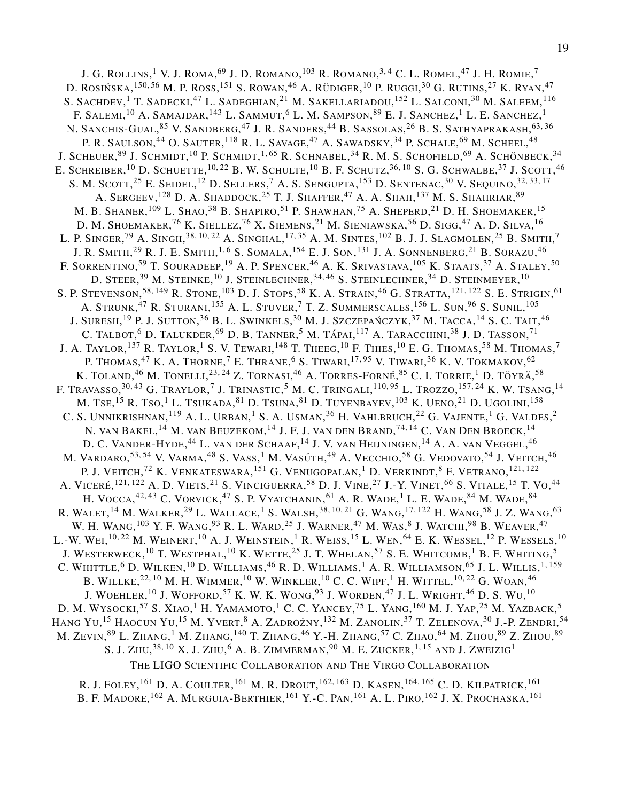J. G. ROLLINS, $^1$  V. J. ROMA, $^{69}$  J. D. ROMANO, $^{103}$  R. ROMANO, $^{3,4}$  C. L. ROMEL, $^{47}$  J. H. ROMIE, $^7$ D. ROSIŃSKA, $^{150,56}$  M. P. Ross, $^{151}$  S. Rowan, $^{46}$  A. Rüdiger, $^{10}$  P. Ruggi, $^{30}$  G. Rutins, $^{27}$  K. Ryan, $^{47}$ S. SACHDEV, <sup>1</sup> T. SADECKI, <sup>47</sup> L. SADEGHIAN, <sup>21</sup> M. SAKELLARIADOU, <sup>152</sup> L. SALCONI, <sup>30</sup> M. SALEEM, <sup>116</sup> F. SALEMI,  $^{10}$  A. Samajdar,  $^{143}$  L. Sammut,  $^{6}$  L. M. Sampson,  $^{89}$  E. J. Sanchez,  $^{1}$  L. E. Sanchez,  $^{1}$ N. SANCHIS-GUAL, $^{85}$  V. Sandberg, $^{47}$  J. R. Sanders, $^{44}$  B. Sassolas, $^{26}$  B. S. Sathyaprakash, $^{63,36}$ P. R. SAULSON,<sup>44</sup> O. SAUTER,<sup>118</sup> R. L. SAVAGE,<sup>47</sup> A. SAWADSKY,<sup>34</sup> P. SCHALE,<sup>69</sup> M. SCHEEL,<sup>48</sup> J. SCHEUER,  $^{89}$  J. Schmidt,  $^{10}$  P. Schmidt,  $^{1,65}$  R. Schnabel,  $^{34}$  R. M. S. Schofield,  $^{69}$  A. Schönbeck,  $^{34}$ E. SCHREIBER, $^{10}$  D. Schuette, $^{10,22}$  B. W. Schulte, $^{10}$  B. F. Schutz, $^{36,10}$  S. G. Schwalbe, $^{37}$  J. Scott, $^{46}$ S. M. SCOTT,  $^{25}$  E. Seidel,  $^{12}$  D. Sellers,  $^7$  A. S. Sengupta,  $^{153}$  D. Sentenac,  $^{30}$  V. Sequino,  $^{32,33,17}$ A. Sergeev,<sup>128</sup> D. A. Shaddock,<sup>25</sup> T. J. Shaffer,<sup>47</sup> A. A. Shah,<sup>137</sup> M. S. Shahriar,<sup>89</sup> M. B. Shaner, $^{109}$  L. Shao, $^{38}$  B. Shapiro, $^{51}$  P. Shawhan, $^{75}$  A. Sheperd, $^{21}$  D. H. Shoemaker, $^{15}$ D. M. Shoemaker,<sup>76</sup> K. Siellez,<sup>76</sup> X. Siemens,<sup>21</sup> M. Sieniawska,<sup>56</sup> D. Sigg,<sup>47</sup> A. D. Silva,<sup>16</sup> L. P. SINGER,  $^{79}$  A. Singh,  $^{38,10,22}$  A. Singhal,  $^{17,35}$  A. M. Sintes,  $^{102}$  B. J. J. Slagmolen,  $^{25}$  B. Smith,  $^7$ J. R. Smith,<sup>29</sup> R. J. E. Smith,<sup>1,6</sup> S. Somala,<sup>154</sup> E. J. Son,<sup>131</sup> J. A. Sonnenberg,<sup>21</sup> B. Sorazu,<sup>46</sup> F. SORRENTINO,<sup>59</sup> T. SOURADEEP,<sup>19</sup> A. P. SPENCER,<sup>46</sup> A. K. Srivastava,<sup>105</sup> K. Staats,<sup>37</sup> A. Staley,<sup>50</sup> D. STEER,  $^{39}$  M. Steinke,  $^{10}$  J. Steinlechner,  $^{34,46}$  S. Steinlechner,  $^{34}$  D. Steinmeyer,  $^{10}$ S. P. STEVENSON, <sup>58, 149</sup> R. STONE, <sup>103</sup> D. J. STOPS, <sup>58</sup> K. A. STRAIN, <sup>46</sup> G. STRATTA, <sup>121, 122</sup> S. E. STRIGIN, <sup>61</sup> A. STRUNK,<sup>47</sup> R. STURANI,<sup>155</sup> A. L. STUVER,<sup>7</sup> T. Z. SUMMERSCALES,<sup>156</sup> L. SUN,<sup>96</sup> S. SUNIL,<sup>105</sup> J. Suresh,  $^{19}$  P. J. Sutton,  $^{36}$  B. L. Swinkels,  $^{30}$  M. J. Szczepańczyk,  $^{37}$  M. Tacca,  $^{14}$  S. C. Tait,  $^{46}$ C. TALBOT, $^6$  D. Talukder, $^{69}$  D. B. Tanner, $^5$  M. Tápai, $^{117}$  A. Taracchini, $^{38}$  J. D. Tasson, $^{71}$ J. A. TAYLOR, $^{137}$  R. Taylor, $^{1}$  S. V. Tewari, $^{148}$  T. Theeg, $^{10}$  F. Thies, $^{10}$  E. G. Thomas, $^{58}$  M. Thomas, $^{7}$ P. THOMAS,<sup>47</sup> K. A. THORNE,<sup>7</sup> E. THRANE,<sup>6</sup> S. TIWARI,<sup>17,95</sup> V. TIWARI,<sup>36</sup> K. V. TOKMAKOV,<sup>62</sup> K. TOLAND, $^{46}$  M. Tonelli, $^{23,\,24}$  Z. Tornasi, $^{46}$  A. Torres-Forné, $^{85}$  C. I. Torrie, $^1$  D. Töyrä, $^{58}$ F. Travasso, $^{30,43}$  G. Traylor, $^7$  J. Trinastic, $^5$  M. C. Tringali, $^{110,95}$  L. Trozzo, $^{157,24}$  K. W. Tsang, $^{14}$ M. TSE,<sup>15</sup> R. Tso,<sup>1</sup> L. Tsukada,<sup>81</sup> D. Tsuna,<sup>81</sup> D. Tuyenbayev,<sup>103</sup> K. Ueno,<sup>21</sup> D. Ugolini,<sup>158</sup> C. S. Unnikrishnan, $^{119}$  A. L. Urban, $^{1}$  S. A. Usman, $^{36}$  H. Vahlbruch, $^{22}$  G. Vajente, $^{1}$  G. Valdes, $^{2}$ N. VAN BAKEL, $^{14}$  M. van Beuzekom, $^{14}$  J. F. J. van den Brand, $^{74,\,14}$  C. Van Den Broeck, $^{14}$ D. C. Vander-Hyde,<sup>44</sup> L. van der Schaaf,<sup>14</sup> J. V. van Heijningen,<sup>14</sup> A. A. van Veggel,<sup>46</sup> M. VARDARO,<sup>53,54</sup> V. VARMA,<sup>48</sup> S. VASS,<sup>1</sup> M. VASÚTH,<sup>49</sup> A. VECCHIO,<sup>58</sup> G. VEDOVATO,<sup>54</sup> J. VEITCH,<sup>46</sup> P. J. VEITCH,<sup>72</sup> K. VENKATESWARA,<sup>151</sup> G. VENUGOPALAN,<sup>1</sup> D. VERKINDT,<sup>8</sup> F. VETRANO,<sup>121,122</sup> A. VICERÉ,<sup>121, 122</sup> A. D. VIETS,<sup>21</sup> S. VINCIGUERRA,<sup>58</sup> D. J. VINE,<sup>27</sup> J.-Y. VINET,<sup>66</sup> S. VITALE,<sup>15</sup> T. Vo,<sup>44</sup> H. VOCCA,<sup>42,43</sup> C. VORVICK,<sup>47</sup> S. P. VYATCHANIN,<sup>61</sup> A. R. WADE,<sup>1</sup> L. E. WADE,<sup>84</sup> M. WADE,<sup>84</sup> R. WALET, $^{14}$  M. WALKER, $^{29}$  L. Wallace, $^{1}$  S. Walsh, $^{38,\,10,\,21}$  G. Wang, $^{17,\,122}$  H. Wang, $^{58}$  J. Z. Wang, $^{63}$ W. H. WANG,  $^{103}$  Y. F. Wang,  $^{93}$  R. L. Ward,  $^{25}$  J. Warner,  $^{47}$  M. Was,  $^{8}$  J. Watchi,  $^{98}$  B. Weaver,  $^{47}$ L.-W. Wei, $^{10,22}$  M. Weinert, $^{10}$  A. J. Weinstein, $^1$  R. Weiss, $^{15}$  L. Wen, $^{64}$  E. K. Wessel, $^{12}$  P. Wessels, $^{10}$ J. WESTERWECK, $^{10}$  T. WESTPHAL, $^{10}$  K. Wette, $^{25}$  J. T. Whelan, $^{57}$  S. E. Whitcomb,  $^{1}$  B. F. Whiting,  $^{5}$ C. WHITTLE,<sup>6</sup> D. WILKEN,<sup>10</sup> D. WILLIAMS,<sup>46</sup> R. D. WILLIAMS,<sup>1</sup> A. R. WILLIAMSON,<sup>65</sup> J. L. WILLIS,<sup>1,159</sup> B. WILLKE, $^{22,\,10}$  M. H. Wimmer, $^{10}$  W. Winkler, $^{10}$  C. C. Wipf, $^{1}$  H. Wittel, $^{10,22}$  G. Woan, $^{46}$ J. WOEHLER, $^{10}$  J. WOFFORD, $^{57}$  K. W. K. WONG, $^{93}$  J. WORDEN, $^{47}$  J. L. Wright, $^{46}$  D. S. Wu, $^{10}$ D. M. WYSOCKI,<sup>57</sup> S. XIAO,<sup>1</sup> H. YAMAMOTO,<sup>1</sup> C. C. YANCEY,<sup>75</sup> L. YANG,<sup>160</sup> M. J. YAP,<sup>25</sup> M. YAZBACK,<sup>5</sup> Hang Yu,<sup>15</sup> Haocun Yu,<sup>15</sup> M. Yvert,<sup>8</sup> A. Zadrożny,<sup>132</sup> M. Zanolin,<sup>37</sup> T. Zelenova,<sup>30</sup> J.-P. Zendri,<sup>54</sup> M. ZEVIN, $^{89}$  L. Zhang, $^{1}$  M. Zhang, $^{140}$  T. Zhang, $^{46}$  Y.-H. Zhang, $^{57}$  C. Zhao, $^{64}$  M. Zhou, $^{89}$  Z. Zhou, $^{89}$ S. J. ZHU, $^{38,\,10}$  X. J. ZHU, $^6$  A. B. Zimmerman, $^{90}$  M. E. Zucker, $^{1,\,15}$  and J. Zweizig $^1$ THE LIGO SCIENTIFIC COLLABORATION AND THE VIRGO COLLABORATION

R. J. FOLEY, <sup>161</sup> D. A. COULTER, <sup>161</sup> M. R. Drout, <sup>162, 163</sup> D. Kasen, <sup>164, 165</sup> C. D. Kilpatrick, <sup>161</sup> B. F. MADORE, <sup>162</sup> A. Murguia-Berthier, <sup>161</sup> Y.-C. Pan, <sup>161</sup> A. L. Piro, <sup>162</sup> J. X. Prochaska, <sup>161</sup>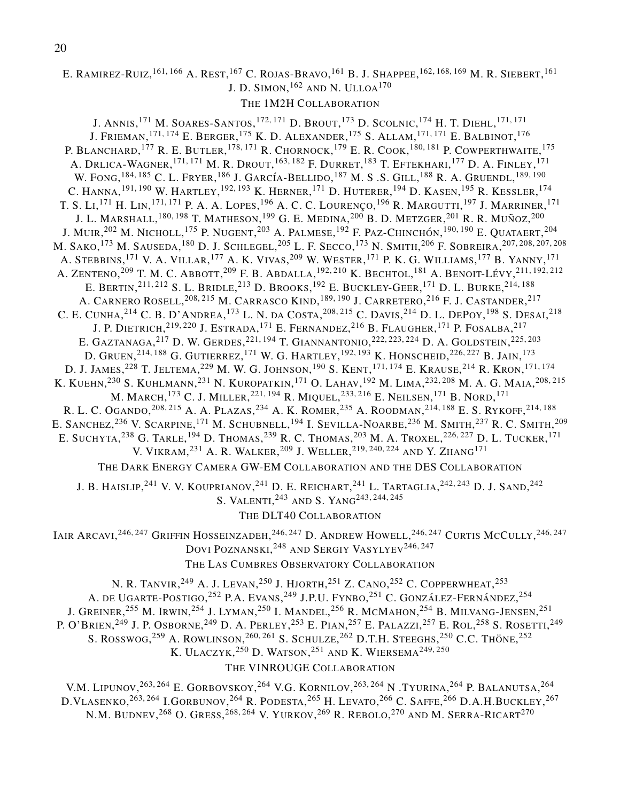## E. RAMIREZ-RUIZ,<sup>161,166</sup> A. Rest,<sup>167</sup> C. Rojas-Bravo,<sup>161</sup> B. J. Shappee,<sup>162,168,169</sup> M. R. Siebert,<sup>161</sup> J. D. SIMON,  $^{162}$  and N. Ulloa $^{170}$

#### THE 1M2H COLLABORATION

J. Annis,<sup>171</sup> M. Soares-Santos,<sup>172,171</sup> D. Brout,<sup>173</sup> D. Scolnic,<sup>174</sup> H. T. Diehl,<sup>171,171</sup> J. Frieman,<sup>171,174</sup> E. Berger,<sup>175</sup> K. D. Alexander,<sup>175</sup> S. Allam,<sup>171,171</sup> E. Balbinot,<sup>176</sup> P. BLANCHARD,<sup>177</sup> R. E. BUTLER,<sup>178,171</sup> R. CHORNOCK,<sup>179</sup> E. R. COOK,<sup>180,181</sup> P. COWPERTHWAITE,<sup>175</sup> A. Drlica-Wagner, <sup>171, 171</sup> M. R. Drout, <sup>163, 182</sup> F. Durret, <sup>183</sup> T. Eftekhari, <sup>177</sup> D. A. Finley, <sup>171</sup> W. FONG, <sup>184, 185</sup> C. L. Fryer, <sup>186</sup> J. García-Bellido, <sup>187</sup> M. S .S. Gill, <sup>188</sup> R. A. Gruendl, <sup>189, 190</sup> C. HANNA, <sup>191, 190</sup> W. HARTLEY, <sup>192, 193</sup> K. HERNER, <sup>171</sup> D. HUTERER, <sup>194</sup> D. KASEN, <sup>195</sup> R. KESSLER, <sup>174</sup> T. S. Li,<sup>171</sup> H. Lin,<sup>171,171</sup> P. A. A. Lopes,<sup>196</sup> A. C. C. Lourenço,<sup>196</sup> R. Margutti,<sup>197</sup> J. Marriner,<sup>171</sup> J. L. MARSHALL, $^{180,\,198}$  T. Matheson, $^{199}$  G. E. Medina, $^{200}$  B. D. Metzger, $^{201}$  R. R. Muñoz, $^{200}$ J. Muir,<sup>202</sup> M. Nicholl,<sup>175</sup> P. Nugent,<sup>203</sup> A. Palmese,<sup>192</sup> F. Paz-Chinchón,<sup>190,190</sup> E. Quataert,<sup>204</sup> M. SAKO,<sup>173</sup> M. SAUSEDA,<sup>180</sup> D. J. SCHLEGEL,<sup>205</sup> L. F. Secco,<sup>173</sup> N. Smith,<sup>206</sup> F. Sobreira,<sup>207,208,207,208</sup> A. STEBBINS,<sup>171</sup> V. A. VILLAR,<sup>177</sup> A. K. VIVAS,<sup>209</sup> W. WESTER,<sup>171</sup> P. K. G. WILLIAMS,<sup>177</sup> B. YANNY,<sup>171</sup> A. ZENTENO,<sup>209</sup> T. M. C. Abbott,<sup>209</sup> F. B. Abdalla,<sup>192,210</sup> K. Bechtol,<sup>181</sup> A. Benoit-Lévy,<sup>211,192,212</sup> E. Bertin,<sup>211,212</sup> S. L. Bridle,<sup>213</sup> D. Brooks,<sup>192</sup> E. Buckley-Geer,<sup>171</sup> D. L. Burke,<sup>214,188</sup> A. CARNERO ROSELL,<sup>208,215</sup> M. Carrasco Kind,<sup>189,190</sup> J. Carretero,<sup>216</sup> F. J. Castander,<sup>217</sup> C. E. CUNHA,<sup>214</sup> C. B. D'ANDREA,<sup>173</sup> L. N. DA COSTA,<sup>208,215</sup> C. DAVIS,<sup>214</sup> D. L. DEPOY,<sup>198</sup> S. DESAI,<sup>218</sup> J. P. DIETRICH, $^{219,220}$  J. Estrada, $^{171}$  E. Fernandez, $^{216}$  B. Flaugher, $^{171}$  P. Fosalba, $^{217}$ E. GAZTANAGA,<sup>217</sup> D. W. Gerdes,<sup>221,194</sup> T. GIANNANTONIO,<sup>222,223,224</sup> D. A. GOLDSTEIN,<sup>225,203</sup> D. GRUEN,<sup>214,188</sup> G. GUTIERREZ,<sup>171</sup> W. G. HARTLEY,<sup>192,193</sup> K. HONSCHEID,<sup>226,227</sup> B. Jain,<sup>173</sup> D. J. JAMES,<sup>228</sup> T. JELTEMA,<sup>229</sup> M. W. G. JOHNSON,<sup>190</sup> S. KENT,<sup>171,174</sup> E. KRAUSE,<sup>214</sup> R. KRON,<sup>171,174</sup> K. KUEHN,<sup>230</sup> S. KUHLMANN,<sup>231</sup> N. KUROPATKIN,<sup>171</sup> O. LAHAV,<sup>192</sup> M. LIMA,<sup>232,208</sup> M. A. G. MAIA,<sup>208,215</sup> M. MARCH,<sup>173</sup> C. J. Miller,<sup>221,194</sup> R. Miquel,<sup>233,216</sup> E. Neilsen,<sup>171</sup> B. Nord,<sup>171</sup> R. L. C. OGANDO,<sup>208,215</sup> A. A. Plazas,<sup>234</sup> A. K. Romer,<sup>235</sup> A. Roodman,<sup>214,188</sup> E. S. Rykoff,<sup>214,188</sup> E. SANCHEZ,<sup>236</sup> V. SCARPINE,<sup>171</sup> M. SCHUBNELL,<sup>194</sup> I. SEVILLA-NOARBE,<sup>236</sup> M. SMITH,<sup>237</sup> R. C. SMITH,<sup>209</sup> E. SUCHYTA,<sup>238</sup> G. TARLE,<sup>194</sup> D. THOMAS,<sup>239</sup> R. C. THOMAS,<sup>203</sup> M. A. Troxel,<sup>226,227</sup> D. L. Tucker,<sup>171</sup> V. VIKRAM,<sup>231</sup> A. R. WALKER,<sup>209</sup> J. WELLER,<sup>219,240,224</sup> AND Y. ZHANG<sup>171</sup> THE DARK ENERGY CAMERA GW-EM COLLABORATION AND THE DES COLLABORATION

J. B. HAISLIP,<sup>241</sup> V. V. KOUPRIANOV,<sup>241</sup> D. E. REICHART,<sup>241</sup> L. TARTAGLIA,<sup>242,243</sup> D. J. SAND,<sup>242</sup> S. VALENTI,<sup>243</sup> AND S. YANG<sup>243, 244, 245</sup>

THE DLT40 COLLABORATION

Iair Arcavi,<sup>246, 247</sup> Griffin Hosseinzadeh,<sup>246, 247</sup> D. Andrew Howell,<sup>246, 247</sup> Curtis McCully,<sup>246, 247</sup> DOVI POZNANSKI,<sup>248</sup> AND **S**ERGIY VASYLYEV<sup>246,247</sup>

THE LAS CUMBRES OBSERVATORY COLLABORATION

N. R. TANVIR,<sup>249</sup> A. J. Levan,<sup>250</sup> J. Hjorth,<sup>251</sup> Z. Cano,<sup>252</sup> C. Copperwheat,<sup>253</sup> A. DE UGARTE-POSTIGO,<sup>252</sup> P.A. Evans,<sup>249</sup> J.P.U. Fynbo,<sup>251</sup> C. González-Fernández,<sup>254</sup> J. GREINER,<sup>255</sup> M. Irwin,<sup>254</sup> J. Lyman,<sup>250</sup> I. Mandel,<sup>256</sup> R. McMahon,<sup>254</sup> B. Milvang-Jensen,<sup>251</sup> P. O'Brien,<sup>249</sup> J. P. Osborne,<sup>249</sup> D. A. Perley,<sup>253</sup> E. Pian,<sup>257</sup> E. Palazzi,<sup>257</sup> E. Rol,<sup>258</sup> S. Rosetti,<sup>249</sup> S. ROSSWOG,  $^{259}$  A. ROWLINSON,  $^{260, 261}$  S. SCHULZE,  $^{262}$  D.T.H. STEEGHS,  $^{250}$  C.C. Thöne,  $^{252}$ K. ULACZYK,<sup>250</sup> D. WATSON,<sup>251</sup> and K. Wiersema<sup>249,250</sup> THE VINROUGE COLLABORATION

V.M. LIPUNOV,<sup>263,264</sup> E. GORBOVSKOY,<sup>264</sup> V.G. KORNILOV,<sup>263,264</sup> N .TYURINA,<sup>264</sup> P. BALANUTSA,<sup>264</sup> D.Vlasenko,<sup>263,264</sup> I.Gorbunov,<sup>264</sup> R. Podesta,<sup>265</sup> H. Levato,<sup>266</sup> C. Saffe,<sup>266</sup> D.A.H.Buckley,<sup>267</sup> N.M. BUDNEV, $^{268}$  O. Gress, $^{268,264}$  V. Yurkov, $^{269}$  R. Rebolo, $^{270}$  and M. Serra-Ricart $^{270}$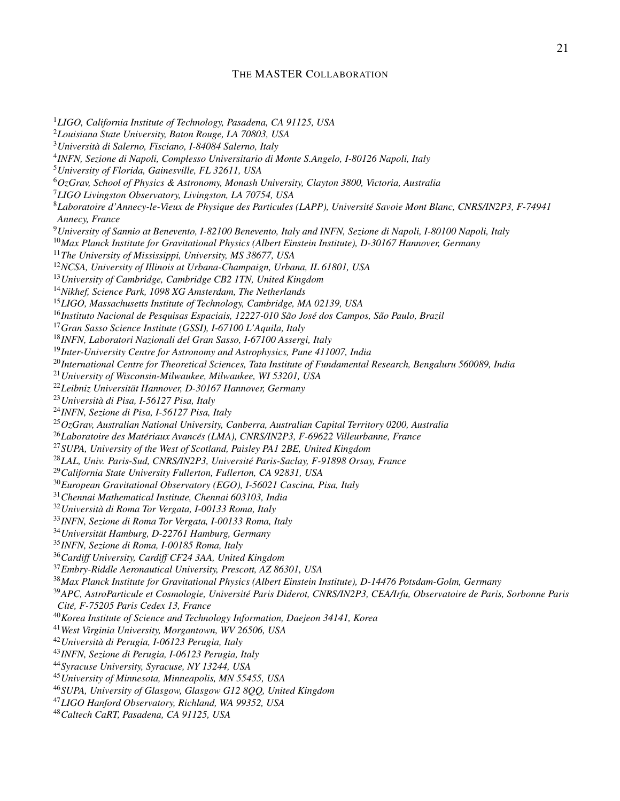#### THE MASTER COLLABORATION

*LIGO, California Institute of Technology, Pasadena, CA 91125, USA Louisiana State University, Baton Rouge, LA 70803, USA Universita di Salerno, Fisciano, I-84084 Salerno, Italy ` INFN, Sezione di Napoli, Complesso Universitario di Monte S.Angelo, I-80126 Napoli, Italy University of Florida, Gainesville, FL 32611, USA OzGrav, School of Physics & Astronomy, Monash University, Clayton 3800, Victoria, Australia LIGO Livingston Observatory, Livingston, LA 70754, USA Laboratoire d'Annecy-le-Vieux de Physique des Particules (LAPP), Universite Savoie Mont Blanc, CNRS/IN2P3, F-74941 ´ Annecy, France University of Sannio at Benevento, I-82100 Benevento, Italy and INFN, Sezione di Napoli, I-80100 Napoli, Italy Max Planck Institute for Gravitational Physics (Albert Einstein Institute), D-30167 Hannover, Germany The University of Mississippi, University, MS 38677, USA NCSA, University of Illinois at Urbana-Champaign, Urbana, IL 61801, USA University of Cambridge, Cambridge CB2 1TN, United Kingdom Nikhef, Science Park, 1098 XG Amsterdam, The Netherlands LIGO, Massachusetts Institute of Technology, Cambridge, MA 02139, USA* <sup>16</sup>Instituto Nacional de Pesquisas Espaciais, 12227-010 São José dos Campos, São Paulo, Brazil *Gran Sasso Science Institute (GSSI), I-67100 L'Aquila, Italy INFN, Laboratori Nazionali del Gran Sasso, I-67100 Assergi, Italy Inter-University Centre for Astronomy and Astrophysics, Pune 411007, India International Centre for Theoretical Sciences, Tata Institute of Fundamental Research, Bengaluru 560089, India University of Wisconsin-Milwaukee, Milwaukee, WI 53201, USA Leibniz Universitat Hannover, D-30167 Hannover, Germany ¨ Universita di Pisa, I-56127 Pisa, Italy ` INFN, Sezione di Pisa, I-56127 Pisa, Italy OzGrav, Australian National University, Canberra, Australian Capital Territory 0200, Australia* <sup>26</sup>Laboratoire des Matériaux Avancés (LMA), CNRS/IN2P3, F-69622 Villeurbanne, France *SUPA, University of the West of Scotland, Paisley PA1 2BE, United Kingdom LAL, Univ. Paris-Sud, CNRS/IN2P3, Universite Paris-Saclay, F-91898 Orsay, France ´ California State University Fullerton, Fullerton, CA 92831, USA European Gravitational Observatory (EGO), I-56021 Cascina, Pisa, Italy Chennai Mathematical Institute, Chennai 603103, India Universita di Roma Tor Vergata, I-00133 Roma, Italy ` INFN, Sezione di Roma Tor Vergata, I-00133 Roma, Italy Universitat Hamburg, D-22761 Hamburg, Germany ¨ INFN, Sezione di Roma, I-00185 Roma, Italy Cardiff University, Cardiff CF24 3AA, United Kingdom Embry-Riddle Aeronautical University, Prescott, AZ 86301, USA Max Planck Institute for Gravitational Physics (Albert Einstein Institute), D-14476 Potsdam-Golm, Germany APC, AstroParticule et Cosmologie, Universite Paris Diderot, CNRS/IN2P3, CEA/Irfu, Observatoire de Paris, Sorbonne Paris ´ Cite, F-75205 Paris Cedex 13, France ´ Korea Institute of Science and Technology Information, Daejeon 34141, Korea West Virginia University, Morgantown, WV 26506, USA Universita di Perugia, I-06123 Perugia, Italy ` INFN, Sezione di Perugia, I-06123 Perugia, Italy Syracuse University, Syracuse, NY 13244, USA University of Minnesota, Minneapolis, MN 55455, USA SUPA, University of Glasgow, Glasgow G12 8QQ, United Kingdom*

*LIGO Hanford Observatory, Richland, WA 99352, USA*

*Caltech CaRT, Pasadena, CA 91125, USA*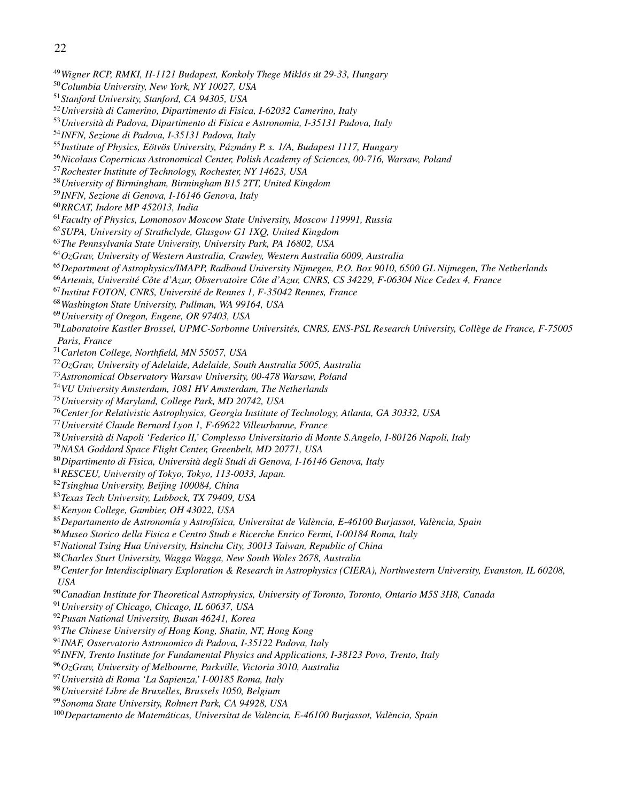- *Wigner RCP, RMKI, H-1121 Budapest, Konkoly Thege Miklos´ ut 29-33, Hungary ´*
- *Columbia University, New York, NY 10027, USA*
- *Stanford University, Stanford, CA 94305, USA*
- *Universita di Camerino, Dipartimento di Fisica, I-62032 Camerino, Italy `*
- *Universita di Padova, Dipartimento di Fisica e Astronomia, I-35131 Padova, Italy `*
- *INFN, Sezione di Padova, I-35131 Padova, Italy*
- 55 Institute of Physics, Eötvös University, Pázmány P. s. 1/A, Budapest 1117, Hungary
- *Nicolaus Copernicus Astronomical Center, Polish Academy of Sciences, 00-716, Warsaw, Poland*
- *Rochester Institute of Technology, Rochester, NY 14623, USA*
- *University of Birmingham, Birmingham B15 2TT, United Kingdom*
- *INFN, Sezione di Genova, I-16146 Genova, Italy*
- *RRCAT, Indore MP 452013, India*
- *Faculty of Physics, Lomonosov Moscow State University, Moscow 119991, Russia*
- *SUPA, University of Strathclyde, Glasgow G1 1XQ, United Kingdom*
- *The Pennsylvania State University, University Park, PA 16802, USA*
- *OzGrav, University of Western Australia, Crawley, Western Australia 6009, Australia*
- *Department of Astrophysics/IMAPP, Radboud University Nijmegen, P.O. Box 9010, 6500 GL Nijmegen, The Netherlands*
- *Artemis, Universite C´ ote d'Azur, Observatoire C ˆ ote d'Azur, CNRS, CS 34229, F-06304 Nice Cedex 4, France ˆ*
- *Institut FOTON, CNRS, Universite de Rennes 1, F-35042 Rennes, France ´*
- *Washington State University, Pullman, WA 99164, USA*
- *University of Oregon, Eugene, OR 97403, USA*
- *Laboratoire Kastler Brossel, UPMC-Sorbonne Universites, CNRS, ENS-PSL Research University, Coll ´ ege de France, F-75005 ` Paris, France*
- *Carleton College, Northfield, MN 55057, USA*
- *OzGrav, University of Adelaide, Adelaide, South Australia 5005, Australia*
- *Astronomical Observatory Warsaw University, 00-478 Warsaw, Poland*
- *VU University Amsterdam, 1081 HV Amsterdam, The Netherlands*
- *University of Maryland, College Park, MD 20742, USA*
- *Center for Relativistic Astrophysics, Georgia Institute of Technology, Atlanta, GA 30332, USA*
- *Universite Claude Bernard Lyon 1, F-69622 Villeurbanne, France ´*
- *Universita di Napoli 'Federico II,' Complesso Universitario di Monte S.Angelo, I-80126 Napoli, Italy `*
- *NASA Goddard Space Flight Center, Greenbelt, MD 20771, USA*
- *Dipartimento di Fisica, Universita degli Studi di Genova, I-16146 Genova, Italy `*
- *RESCEU, University of Tokyo, Tokyo, 113-0033, Japan.*
- *Tsinghua University, Beijing 100084, China*
- *Texas Tech University, Lubbock, TX 79409, USA*
- *Kenyon College, Gambier, OH 43022, USA*
- *Departamento de Astronom´ıa y Astrof´ısica, Universitat de Valencia, E-46100 Burjassot, Val ` encia, Spain `*
- *Museo Storico della Fisica e Centro Studi e Ricerche Enrico Fermi, I-00184 Roma, Italy*
- *National Tsing Hua University, Hsinchu City, 30013 Taiwan, Republic of China*
- *Charles Sturt University, Wagga Wagga, New South Wales 2678, Australia*
- *Center for Interdisciplinary Exploration & Research in Astrophysics (CIERA), Northwestern University, Evanston, IL 60208, USA*
- *Canadian Institute for Theoretical Astrophysics, University of Toronto, Toronto, Ontario M5S 3H8, Canada*
- *University of Chicago, Chicago, IL 60637, USA*
- *Pusan National University, Busan 46241, Korea*
- *The Chinese University of Hong Kong, Shatin, NT, Hong Kong*
- *INAF, Osservatorio Astronomico di Padova, I-35122 Padova, Italy*
- *INFN, Trento Institute for Fundamental Physics and Applications, I-38123 Povo, Trento, Italy*
- *OzGrav, University of Melbourne, Parkville, Victoria 3010, Australia*
- *Universita di Roma 'La Sapienza,' I-00185 Roma, Italy `*
- *Universite Libre de Bruxelles, Brussels 1050, Belgium ´*
- *Sonoma State University, Rohnert Park, CA 94928, USA*
- <sup>100</sup>Departamento de Matemáticas, Universitat de València, E-46100 Burjassot, València, Spain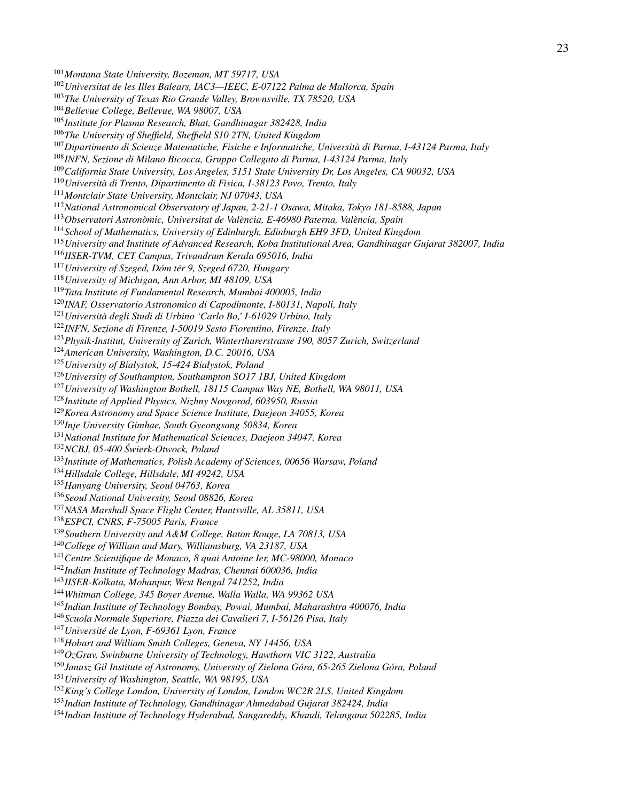*Universitat de les Illes Balears, IAC3—IEEC, E-07122 Palma de Mallorca, Spain Dipartimento di Scienze Matematiche, Fisiche e Informatiche, Universita di Parma, I-43124 Parma, Italy ` INFN, Sezione di Milano Bicocca, Gruppo Collegato di Parma, I-43124 Parma, Italy California State University, Los Angeles, 5151 State University Dr, Los Angeles, CA 90032, USA*

*National Astronomical Observatory of Japan, 2-21-1 Osawa, Mitaka, Tokyo 181-8588, Japan*

<sup>113</sup>Observatori Astronòmic, Universitat de València, E-46980 Paterna, València, Spain

*School of Mathematics, University of Edinburgh, Edinburgh EH9 3FD, United Kingdom*

*University and Institute of Advanced Research, Koba Institutional Area, Gandhinagar Gujarat 382007, India*

*IISER-TVM, CET Campus, Trivandrum Kerala 695016, India*

<sup>117</sup> University of Szeged, Dóm tér 9, Szeged 6720, Hungary

*Montclair State University, Montclair, NJ 07043, USA*

*University of Michigan, Ann Arbor, MI 48109, USA*

*Montana State University, Bozeman, MT 59717, USA*

*Bellevue College, Bellevue, WA 98007, USA*

*Tata Institute of Fundamental Research, Mumbai 400005, India*

*INAF, Osservatorio Astronomico di Capodimonte, I-80131, Napoli, Italy*

*The University of Texas Rio Grande Valley, Brownsville, TX 78520, USA*

*Universita di Trento, Dipartimento di Fisica, I-38123 Povo, Trento, Italy `*

*Institute for Plasma Research, Bhat, Gandhinagar 382428, India The University of Sheffield, Sheffield S10 2TN, United Kingdom*

*Universita degli Studi di Urbino 'Carlo Bo,' I-61029 Urbino, Italy `*

*INFN, Sezione di Firenze, I-50019 Sesto Fiorentino, Firenze, Italy*

*Physik-Institut, University of Zurich, Winterthurerstrasse 190, 8057 Zurich, Switzerland*

*American University, Washington, D.C. 20016, USA*

*University of Białystok, 15-424 Białystok, Poland*

*University of Southampton, Southampton SO17 1BJ, United Kingdom*

*University of Washington Bothell, 18115 Campus Way NE, Bothell, WA 98011, USA*

*Institute of Applied Physics, Nizhny Novgorod, 603950, Russia*

*Korea Astronomy and Space Science Institute, Daejeon 34055, Korea*

*Inje University Gimhae, South Gyeongsang 50834, Korea*

*National Institute for Mathematical Sciences, Daejeon 34047, Korea*

*NCBJ, 05-400 Swierk-Otwock, Poland ´*

*Institute of Mathematics, Polish Academy of Sciences, 00656 Warsaw, Poland*

*Hillsdale College, Hillsdale, MI 49242, USA*

*Hanyang University, Seoul 04763, Korea*

*Seoul National University, Seoul 08826, Korea*

*NASA Marshall Space Flight Center, Huntsville, AL 35811, USA*

*ESPCI, CNRS, F-75005 Paris, France*

*Southern University and A&M College, Baton Rouge, LA 70813, USA*

*College of William and Mary, Williamsburg, VA 23187, USA*

*Centre Scientifique de Monaco, 8 quai Antoine Ier, MC-98000, Monaco*

*Indian Institute of Technology Madras, Chennai 600036, India*

*IISER-Kolkata, Mohanpur, West Bengal 741252, India*

*Whitman College, 345 Boyer Avenue, Walla Walla, WA 99362 USA*

*Indian Institute of Technology Bombay, Powai, Mumbai, Maharashtra 400076, India*

*Scuola Normale Superiore, Piazza dei Cavalieri 7, I-56126 Pisa, Italy*

*Universite de Lyon, F-69361 Lyon, France ´*

*Hobart and William Smith Colleges, Geneva, NY 14456, USA*

*OzGrav, Swinburne University of Technology, Hawthorn VIC 3122, Australia*

<sup>150</sup>Janusz Gil Institute of Astronomy, University of Zielona Góra, 65-265 Zielona Góra, Poland

*University of Washington, Seattle, WA 98195, USA*

*King's College London, University of London, London WC2R 2LS, United Kingdom*

*Indian Institute of Technology, Gandhinagar Ahmedabad Gujarat 382424, India*

*Indian Institute of Technology Hyderabad, Sangareddy, Khandi, Telangana 502285, India*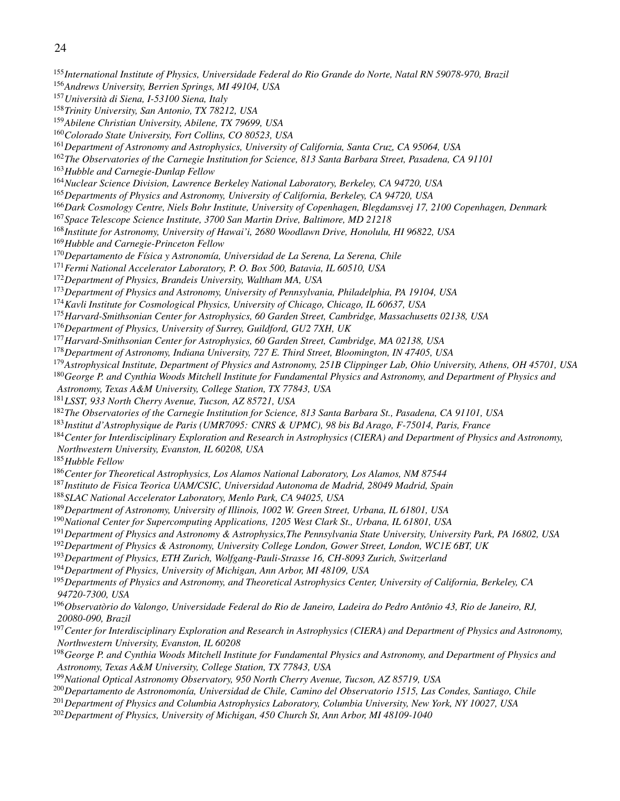*International Institute of Physics, Universidade Federal do Rio Grande do Norte, Natal RN 59078-970, Brazil Andrews University, Berrien Springs, MI 49104, USA Universita di Siena, I-53100 Siena, Italy ` Trinity University, San Antonio, TX 78212, USA Abilene Christian University, Abilene, TX 79699, USA Colorado State University, Fort Collins, CO 80523, USA Department of Astronomy and Astrophysics, University of California, Santa Cruz, CA 95064, USA The Observatories of the Carnegie Institution for Science, 813 Santa Barbara Street, Pasadena, CA 91101 Hubble and Carnegie-Dunlap Fellow Nuclear Science Division, Lawrence Berkeley National Laboratory, Berkeley, CA 94720, USA Departments of Physics and Astronomy, University of California, Berkeley, CA 94720, USA Dark Cosmology Centre, Niels Bohr Institute, University of Copenhagen, Blegdamsvej 17, 2100 Copenhagen, Denmark Space Telescope Science Institute, 3700 San Martin Drive, Baltimore, MD 21218 Institute for Astronomy, University of Hawai'i, 2680 Woodlawn Drive, Honolulu, HI 96822, USA Hubble and Carnegie-Princeton Fellow* <sup>170</sup>Departamento de Física y Astronomía, Universidad de La Serena, La Serena, Chile *Fermi National Accelerator Laboratory, P. O. Box 500, Batavia, IL 60510, USA Department of Physics, Brandeis University, Waltham MA, USA Department of Physics and Astronomy, University of Pennsylvania, Philadelphia, PA 19104, USA Kavli Institute for Cosmological Physics, University of Chicago, Chicago, IL 60637, USA Harvard-Smithsonian Center for Astrophysics, 60 Garden Street, Cambridge, Massachusetts 02138, USA Department of Physics, University of Surrey, Guildford, GU2 7XH, UK Harvard-Smithsonian Center for Astrophysics, 60 Garden Street, Cambridge, MA 02138, USA Department of Astronomy, Indiana University, 727 E. Third Street, Bloomington, IN 47405, USA Astrophysical Institute, Department of Physics and Astronomy, 251B Clippinger Lab, Ohio University, Athens, OH 45701, USA George P. and Cynthia Woods Mitchell Institute for Fundamental Physics and Astronomy, and Department of Physics and Astronomy, Texas A&M University, College Station, TX 77843, USA LSST, 933 North Cherry Avenue, Tucson, AZ 85721, USA The Observatories of the Carnegie Institution for Science, 813 Santa Barbara St., Pasadena, CA 91101, USA Institut d'Astrophysique de Paris (UMR7095: CNRS & UPMC), 98 bis Bd Arago, F-75014, Paris, France Center for Interdisciplinary Exploration and Research in Astrophysics (CIERA) and Department of Physics and Astronomy, Northwestern University, Evanston, IL 60208, USA Hubble Fellow Center for Theoretical Astrophysics, Los Alamos National Laboratory, Los Alamos, NM 87544 Instituto de Fisica Teorica UAM/CSIC, Universidad Autonoma de Madrid, 28049 Madrid, Spain SLAC National Accelerator Laboratory, Menlo Park, CA 94025, USA Department of Astronomy, University of Illinois, 1002 W. Green Street, Urbana, IL 61801, USA National Center for Supercomputing Applications, 1205 West Clark St., Urbana, IL 61801, USA Department of Physics and Astronomy & Astrophysics,The Pennsylvania State University, University Park, PA 16802, USA Department of Physics & Astronomy, University College London, Gower Street, London, WC1E 6BT, UK Department of Physics, ETH Zurich, Wolfgang-Pauli-Strasse 16, CH-8093 Zurich, Switzerland Department of Physics, University of Michigan, Ann Arbor, MI 48109, USA Departments of Physics and Astronomy, and Theoretical Astrophysics Center, University of California, Berkeley, CA 94720-7300, USA* <sup>196</sup>Observatòrio do Valongo, Universidade Federal do Rio de Janeiro, Ladeira do Pedro Antônio 43, Rio de Janeiro, RJ, *20080-090, Brazil Center for Interdisciplinary Exploration and Research in Astrophysics (CIERA) and Department of Physics and Astronomy, Northwestern University, Evanston, IL 60208 George P. and Cynthia Woods Mitchell Institute for Fundamental Physics and Astronomy, and Department of Physics and Astronomy, Texas A&M University, College Station, TX 77843, USA National Optical Astronomy Observatory, 950 North Cherry Avenue, Tucson, AZ 85719, USA Departamento de Astronomon´ıa, Universidad de Chile, Camino del Observatorio 1515, Las Condes, Santiago, Chile Department of Physics and Columbia Astrophysics Laboratory, Columbia University, New York, NY 10027, USA*

*Department of Physics, University of Michigan, 450 Church St, Ann Arbor, MI 48109-1040*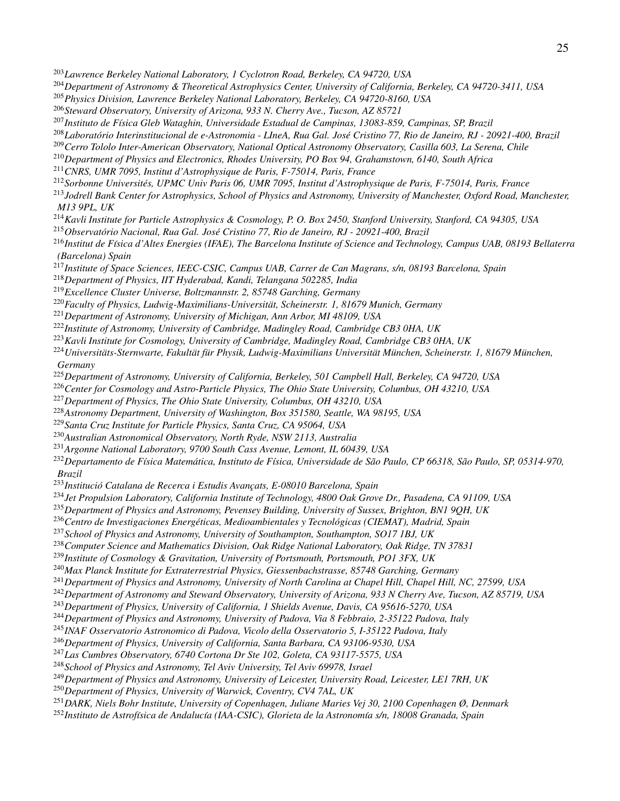- *Lawrence Berkeley National Laboratory, 1 Cyclotron Road, Berkeley, CA 94720, USA*
- *Department of Astronomy & Theoretical Astrophysics Center, University of California, Berkeley, CA 94720-3411, USA*
- *Physics Division, Lawrence Berkeley National Laboratory, Berkeley, CA 94720-8160, USA*
- *Steward Observatory, University of Arizona, 933 N. Cherry Ave., Tucson, AZ 85721*
- <sup>207</sup>*Instituto de Física Gleb Wataghin, Universidade Estadual de Campinas, 13083-859, Campinas, SP, Brazil*
- <sup>208</sup>Laboratório Interinstitucional de e-Astronomia LIneA, Rua Gal. José Cristino 77, Rio de Janeiro, RJ 20921-400, Brazil
- *Cerro Tololo Inter-American Observatory, National Optical Astronomy Observatory, Casilla 603, La Serena, Chile*
- *Department of Physics and Electronics, Rhodes University, PO Box 94, Grahamstown, 6140, South Africa*
- *CNRS, UMR 7095, Institut d'Astrophysique de Paris, F-75014, Paris, France*
- *Sorbonne Universites, UPMC Univ Paris 06, UMR 7095, Institut d'Astrophysique de Paris, F-75014, Paris, France ´*
- *Jodrell Bank Center for Astrophysics, School of Physics and Astronomy, University of Manchester, Oxford Road, Manchester, M13 9PL, UK*
- *Kavli Institute for Particle Astrophysics & Cosmology, P. O. Box 2450, Stanford University, Stanford, CA 94305, USA*
- <sup>215</sup>Observatório Nacional, Rua Gal. José Cristino 77, Rio de Janeiro, RJ 20921-400, Brazil
- <sup>216</sup> Institut de Física d'Altes Energies (IFAE), The Barcelona Institute of Science and Technology, Campus UAB, 08193 Bellaterra *(Barcelona) Spain*
- *Institute of Space Sciences, IEEC-CSIC, Campus UAB, Carrer de Can Magrans, s/n, 08193 Barcelona, Spain*
- *Department of Physics, IIT Hyderabad, Kandi, Telangana 502285, India*
- *Excellence Cluster Universe, Boltzmannstr. 2, 85748 Garching, Germany*
- <sup>220</sup> Faculty of Physics, Ludwig-Maximilians-Universität, Scheinerstr. 1, 81679 Munich, Germany
- *Department of Astronomy, University of Michigan, Ann Arbor, MI 48109, USA*
- *Institute of Astronomy, University of Cambridge, Madingley Road, Cambridge CB3 0HA, UK*
- *Kavli Institute for Cosmology, University of Cambridge, Madingley Road, Cambridge CB3 0HA, UK*
- <sup>224</sup> Universitäts-Sternwarte, Fakultät für Physik, Ludwig-Maximilians Universität München, Scheinerstr. 1, 81679 München, *Germany*
- *Department of Astronomy, University of California, Berkeley, 501 Campbell Hall, Berkeley, CA 94720, USA*
- *Center for Cosmology and Astro-Particle Physics, The Ohio State University, Columbus, OH 43210, USA*
- *Department of Physics, The Ohio State University, Columbus, OH 43210, USA*
- *Astronomy Department, University of Washington, Box 351580, Seattle, WA 98195, USA*
- *Santa Cruz Institute for Particle Physics, Santa Cruz, CA 95064, USA*
- *Australian Astronomical Observatory, North Ryde, NSW 2113, Australia*
- *Argonne National Laboratory, 9700 South Cass Avenue, Lemont, IL 60439, USA*
- <sup>232</sup>Departamento de Física Matemática, Instituto de Física, Universidade de São Paulo, CP 66318, São Paulo, SP, 05314-970, *Brazil*
- <sup>233</sup>Institució Catalana de Recerca i Estudis Avancats, E-08010 Barcelona, Spain
- *Jet Propulsion Laboratory, California Institute of Technology, 4800 Oak Grove Dr., Pasadena, CA 91109, USA*
- *Department of Physics and Astronomy, Pevensey Building, University of Sussex, Brighton, BN1 9QH, UK*
- <sup>236</sup> Centro de Investigaciones Energéticas, Medioambientales y Tecnológicas (CIEMAT), Madrid, Spain
- *School of Physics and Astronomy, University of Southampton, Southampton, SO17 1BJ, UK*
- *Computer Science and Mathematics Division, Oak Ridge National Laboratory, Oak Ridge, TN 37831*
- *Institute of Cosmology & Gravitation, University of Portsmouth, Portsmouth, PO1 3FX, UK*
- *Max Planck Institute for Extraterrestrial Physics, Giessenbachstrasse, 85748 Garching, Germany*
- *Department of Physics and Astronomy, University of North Carolina at Chapel Hill, Chapel Hill, NC, 27599, USA*
- *Department of Astronomy and Steward Observatory, University of Arizona, 933 N Cherry Ave, Tucson, AZ 85719, USA*
- *Department of Physics, University of California, 1 Shields Avenue, Davis, CA 95616-5270, USA*
- *Department of Physics and Astronomy, University of Padova, Via 8 Febbraio, 2-35122 Padova, Italy*
- *INAF Osservatorio Astronomico di Padova, Vicolo della Osservatorio 5, I-35122 Padova, Italy*
- *Department of Physics, University of California, Santa Barbara, CA 93106-9530, USA*
- *Las Cumbres Observatory, 6740 Cortona Dr Ste 102, Goleta, CA 93117-5575, USA*
- *School of Physics and Astronomy, Tel Aviv University, Tel Aviv 69978, Israel*
- *Department of Physics and Astronomy, University of Leicester, University Road, Leicester, LE1 7RH, UK*
- *Department of Physics, University of Warwick, Coventry, CV4 7AL, UK*
- *DARK, Niels Bohr Institute, University of Copenhagen, Juliane Maries Vej 30, 2100 Copenhagen Ø, Denmark*
- <sup>252</sup>Instituto de Astrofísica de Andalucía (IAA-CSIC), Glorieta de la Astronomía s/n, 18008 Granada, Spain